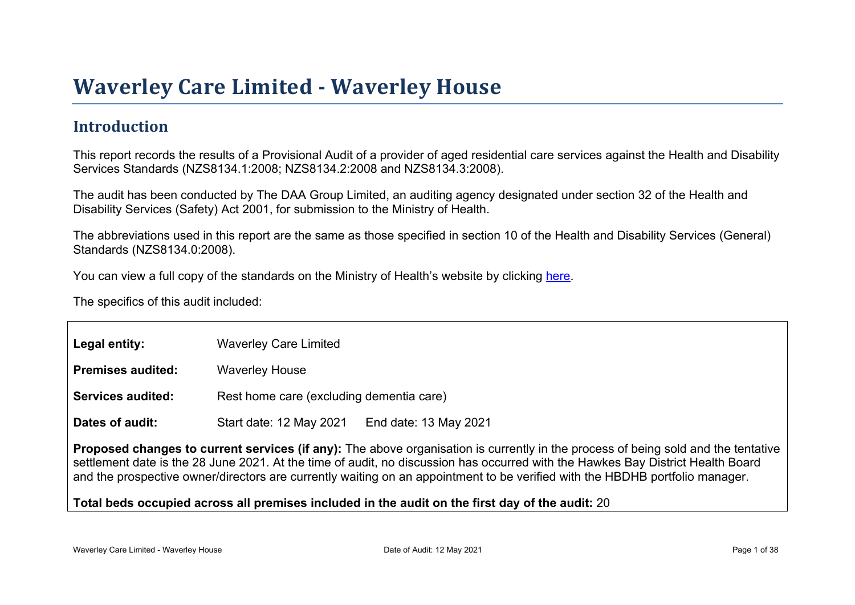#### **Introduction**

This report records the results of a Provisional Audit of a provider of aged residential care services against the Health and Disability Services Standards (NZS8134.1:2008; NZS8134.2:2008 and NZS8134.3:2008).

The audit has been conducted by The DAA Group Limited, an auditing agency designated under section 32 of the Health and Disability Services (Safety) Act 2001, for submission to the Ministry of Health.

The abbreviations used in this report are the same as those specified in section 10 of the Health and Disability Services (General) Standards (NZS8134.0:2008).

You can view a full copy of the standards on the Ministry of Health's website by clicking [here.](http://www.health.govt.nz/our-work/regulation-health-and-disability-system/certification-health-care-services/health-and-disability-services-standards)

The specifics of this audit included:

| Legal entity:                                                                                                                                                                                                                                                                                                                                                                                        | <b>Waverley Care Limited</b>                     |  |  |  |
|------------------------------------------------------------------------------------------------------------------------------------------------------------------------------------------------------------------------------------------------------------------------------------------------------------------------------------------------------------------------------------------------------|--------------------------------------------------|--|--|--|
| Premises audited:                                                                                                                                                                                                                                                                                                                                                                                    | <b>Waverley House</b>                            |  |  |  |
| Services audited:                                                                                                                                                                                                                                                                                                                                                                                    | Rest home care (excluding dementia care)         |  |  |  |
| Dates of audit:                                                                                                                                                                                                                                                                                                                                                                                      | Start date: 12 May 2021<br>End date: 13 May 2021 |  |  |  |
| Proposed changes to current services (if any): The above organisation is currently in the process of being sold and the tentative<br>settlement date is the 28 June 2021. At the time of audit, no discussion has occurred with the Hawkes Bay District Health Board<br>and the prospective owner/directors are currently waiting on an appointment to be verified with the HBDHB portfolio manager. |                                                  |  |  |  |
| Total beds occupied across all premises included                                                                                                                                                                                                                                                                                                                                                     | in the audit on the first day of the audit: 20   |  |  |  |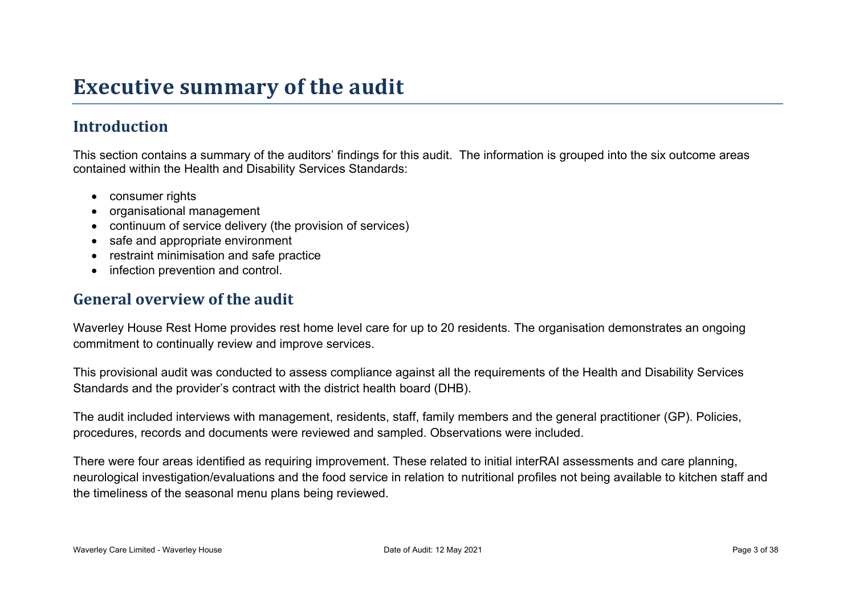### **Executive summary of the audit**

#### **Introduction**

This section contains a summary of the auditors' findings for this audit. The information is grouped into the six outcome areas contained within the Health and Disability Services Standards:

- consumer rights
- organisational management
- continuum of service delivery (the provision of services)
- safe and appropriate environment
- restraint minimisation and safe practice
- infection prevention and control.

#### **General overview of the audit**

Waverley House Rest Home provides rest home level care for up to 20 residents. The organisation demonstrates an ongoing commitment to continually review and improve services.

This provisional audit was conducted to assess compliance against all the requirements of the Health and Disability Services Standards and the provider's contract with the district health board (DHB).

The audit included interviews with management, residents, staff, family members and the general practitioner (GP). Policies, procedures, records and documents were reviewed and sampled. Observations were included.

There were four areas identified as requiring improvement. These related to initial interRAI assessments and care planning, neurological investigation/evaluations and the food service in relation to nutritional profiles not being available to kitchen staff and the timeliness of the seasonal menu plans being reviewed.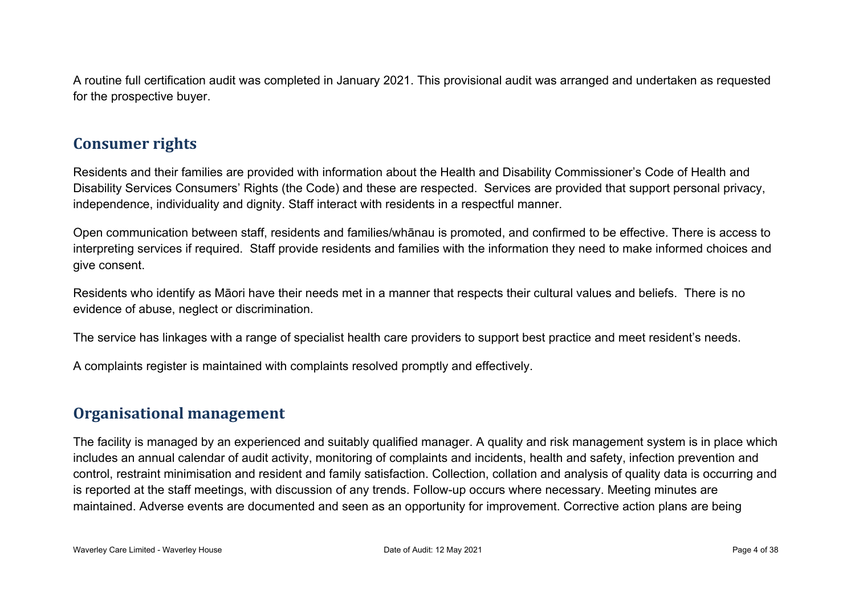A routine full certification audit was completed in January 2021. This provisional audit was arranged and undertaken as requested for the prospective buyer.

#### **Consumer rights**

Residents and their families are provided with information about the Health and Disability Commissioner's Code of Health and Disability Services Consumers' Rights (the Code) and these are respected. Services are provided that support personal privacy, independence, individuality and dignity. Staff interact with residents in a respectful manner.

Open communication between staff, residents and families/whānau is promoted, and confirmed to be effective. There is access to interpreting services if required. Staff provide residents and families with the information they need to make informed choices and give consent.

Residents who identify as Māori have their needs met in a manner that respects their cultural values and beliefs. There is no evidence of abuse, neglect or discrimination.

The service has linkages with a range of specialist health care providers to support best practice and meet resident's needs.

A complaints register is maintained with complaints resolved promptly and effectively.

#### **Organisational management**

The facility is managed by an experienced and suitably qualified manager. A quality and risk management system is in place which includes an annual calendar of audit activity, monitoring of complaints and incidents, health and safety, infection prevention and control, restraint minimisation and resident and family satisfaction. Collection, collation and analysis of quality data is occurring and is reported at the staff meetings, with discussion of any trends. Follow-up occurs where necessary. Meeting minutes are maintained. Adverse events are documented and seen as an opportunity for improvement. Corrective action plans are being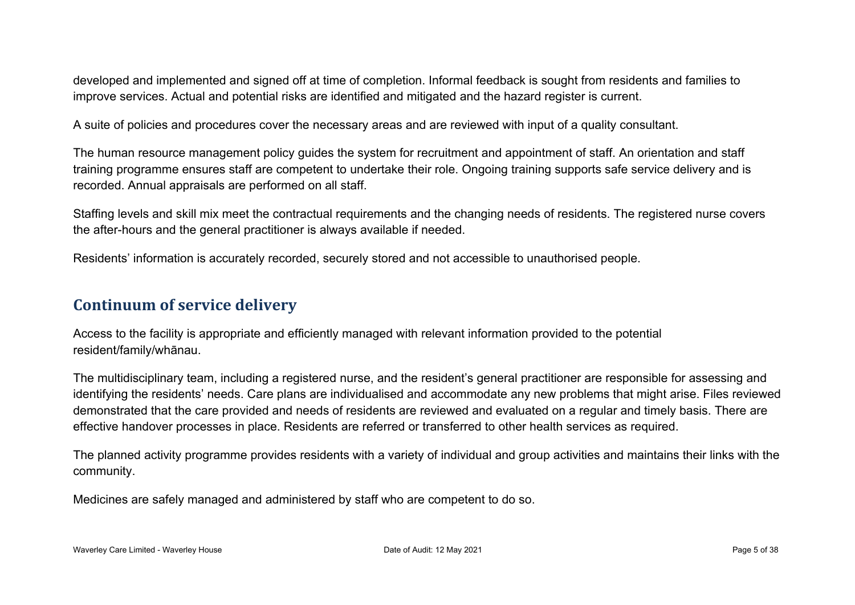developed and implemented and signed off at time of completion. Informal feedback is sought from residents and families to improve services. Actual and potential risks are identified and mitigated and the hazard register is current.

A suite of policies and procedures cover the necessary areas and are reviewed with input of a quality consultant.

The human resource management policy guides the system for recruitment and appointment of staff. An orientation and staff training programme ensures staff are competent to undertake their role. Ongoing training supports safe service delivery and is recorded. Annual appraisals are performed on all staff.

Staffing levels and skill mix meet the contractual requirements and the changing needs of residents. The registered nurse covers the after-hours and the general practitioner is always available if needed.

Residents' information is accurately recorded, securely stored and not accessible to unauthorised people.

#### **Continuum of service delivery**

Access to the facility is appropriate and efficiently managed with relevant information provided to the potential resident/family/whānau.

The multidisciplinary team, including a registered nurse, and the resident's general practitioner are responsible for assessing and identifying the residents' needs. Care plans are individualised and accommodate any new problems that might arise. Files reviewed demonstrated that the care provided and needs of residents are reviewed and evaluated on a regular and timely basis. There are effective handover processes in place. Residents are referred or transferred to other health services as required.

The planned activity programme provides residents with a variety of individual and group activities and maintains their links with the community.

Medicines are safely managed and administered by staff who are competent to do so.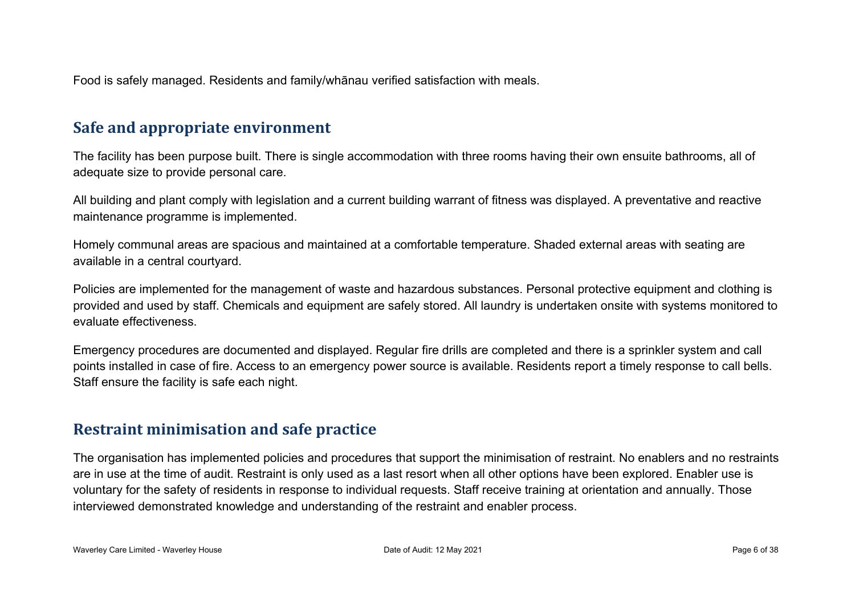Food is safely managed. Residents and family/whānau verified satisfaction with meals.

#### **Safe and appropriate environment**

The facility has been purpose built. There is single accommodation with three rooms having their own ensuite bathrooms, all of adequate size to provide personal care.

All building and plant comply with legislation and a current building warrant of fitness was displayed. A preventative and reactive maintenance programme is implemented.

Homely communal areas are spacious and maintained at a comfortable temperature. Shaded external areas with seating are available in a central courtyard.

Policies are implemented for the management of waste and hazardous substances. Personal protective equipment and clothing is provided and used by staff. Chemicals and equipment are safely stored. All laundry is undertaken onsite with systems monitored to evaluate effectiveness.

Emergency procedures are documented and displayed. Regular fire drills are completed and there is a sprinkler system and call points installed in case of fire. Access to an emergency power source is available. Residents report a timely response to call bells. Staff ensure the facility is safe each night.

#### **Restraint minimisation and safe practice**

The organisation has implemented policies and procedures that support the minimisation of restraint. No enablers and no restraints are in use at the time of audit. Restraint is only used as a last resort when all other options have been explored. Enabler use is voluntary for the safety of residents in response to individual requests. Staff receive training at orientation and annually. Those interviewed demonstrated knowledge and understanding of the restraint and enabler process.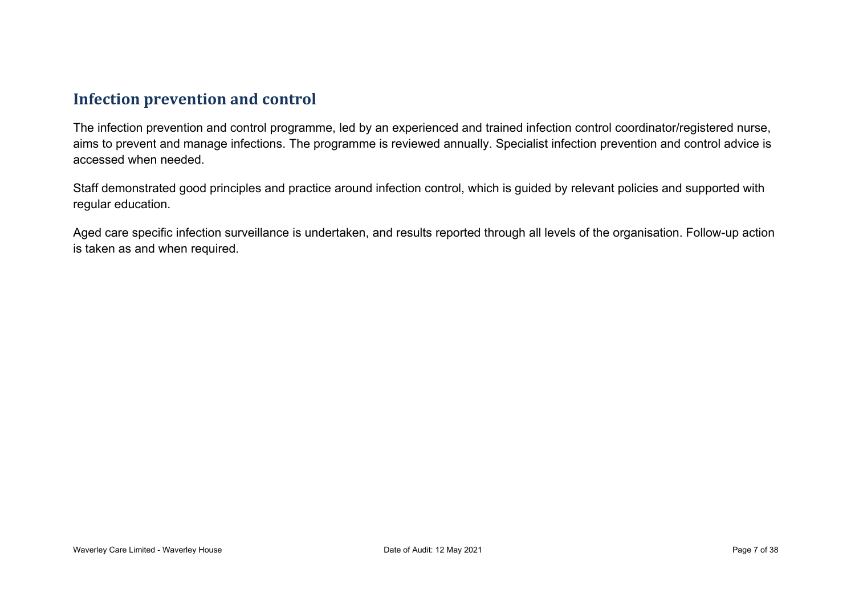#### **Infection prevention and control**

The infection prevention and control programme, led by an experienced and trained infection control coordinator/registered nurse, aims to prevent and manage infections. The programme is reviewed annually. Specialist infection prevention and control advice is accessed when needed.

Staff demonstrated good principles and practice around infection control, which is guided by relevant policies and supported with regular education.

Aged care specific infection surveillance is undertaken, and results reported through all levels of the organisation. Follow-up action is taken as and when required.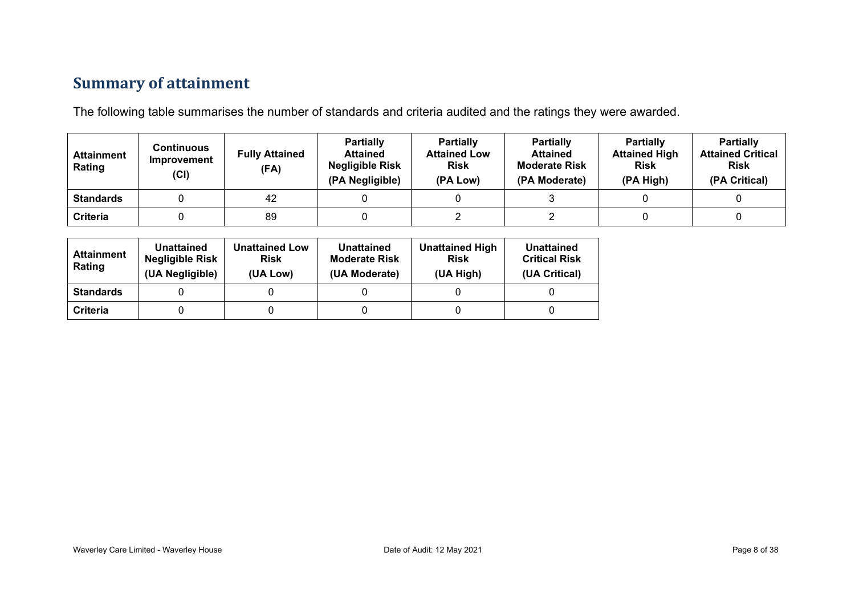### **Summary of attainment**

The following table summarises the number of standards and criteria audited and the ratings they were awarded.

| <b>Attainment</b><br>Rating | Continuous<br>Improvement<br>(CI) | <b>Fully Attained</b><br>(FA) | <b>Partially</b><br><b>Attained</b><br><b>Negligible Risk</b><br>(PA Negligible) | <b>Partially</b><br><b>Attained Low</b><br><b>Risk</b><br>(PA Low) | <b>Partially</b><br><b>Attained</b><br><b>Moderate Risk</b><br>(PA Moderate) | <b>Partially</b><br><b>Attained High</b><br><b>Risk</b><br>(PA High) | <b>Partially</b><br><b>Attained Critical</b><br><b>Risk</b><br>(PA Critical) |
|-----------------------------|-----------------------------------|-------------------------------|----------------------------------------------------------------------------------|--------------------------------------------------------------------|------------------------------------------------------------------------------|----------------------------------------------------------------------|------------------------------------------------------------------------------|
| <b>Standards</b>            |                                   | 42                            |                                                                                  |                                                                    |                                                                              |                                                                      |                                                                              |
| Criteria                    |                                   | 89                            |                                                                                  |                                                                    |                                                                              |                                                                      |                                                                              |

| <b>Attainment</b><br>Rating | <b>Unattained</b><br><b>Negligible Risk</b><br>(UA Negligible) | <b>Unattained Low</b><br><b>Risk</b><br>(UA Low) | <b>Unattained</b><br><b>Moderate Risk</b><br>(UA Moderate) | <b>Unattained High</b><br><b>Risk</b><br>(UA High) | Unattained<br><b>Critical Risk</b><br>(UA Critical) |
|-----------------------------|----------------------------------------------------------------|--------------------------------------------------|------------------------------------------------------------|----------------------------------------------------|-----------------------------------------------------|
| <b>Standards</b>            |                                                                |                                                  |                                                            |                                                    |                                                     |
| Criteria                    |                                                                |                                                  |                                                            |                                                    |                                                     |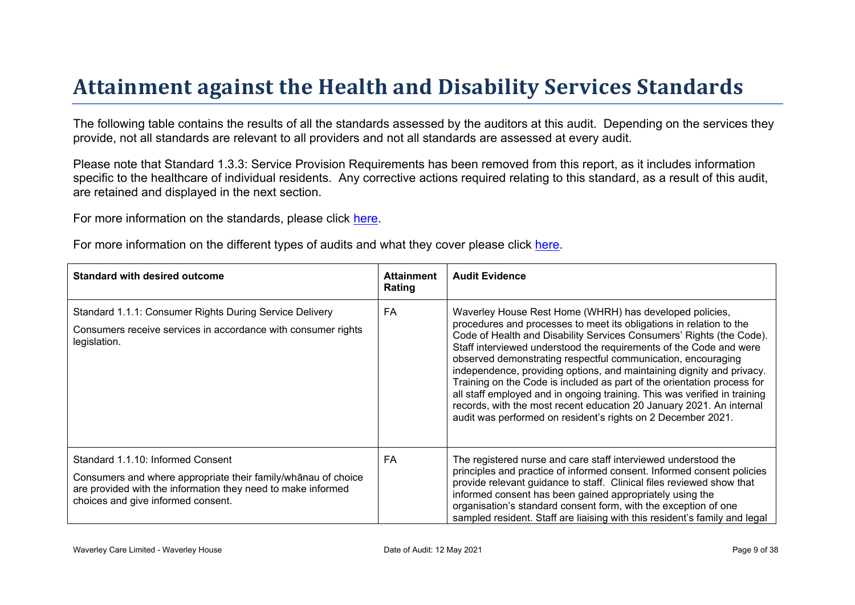# Attainment against the Health and Disability Ser vices Standar ds

The following table contains the results of all the standards assessed by the auditors at this audit. Depending on the services they provide, not all standards are relevant to all providers and not all standards are assessed at every audit.

Please note that Standard 1.3.3: Service Provision Requirements has been removed from this report, as it includes information specific to the healthcare of individual residents. Any corrective actions required relating to this standard, as a result of this audit. are retained and displayed in the next section.

For more information on the standards, please click [here](http://www.health.govt.nz/our-work/regulation-health-and-disability-system/certification-health-care-services/health-and-disability-services-standards).

For more information on the different types of audits and what they cover please click [here.](http://www.health.govt.nz/your-health/services-and-support/health-care-services/services-older-people/rest-home-certification-and-audits)

| Standard with desired outcome                                                                                                                                                                          | Attainment<br>Rating | <b>Audit Evidence</b>                                                                                                                                                                                                                                                                                                                                                                                                                                                                                                                                                                                                                                                                                                 |
|--------------------------------------------------------------------------------------------------------------------------------------------------------------------------------------------------------|----------------------|-----------------------------------------------------------------------------------------------------------------------------------------------------------------------------------------------------------------------------------------------------------------------------------------------------------------------------------------------------------------------------------------------------------------------------------------------------------------------------------------------------------------------------------------------------------------------------------------------------------------------------------------------------------------------------------------------------------------------|
| Standard 1.1.1: Consumer Rights During Service Delivery<br>Consumers receive services in accordance with consumer rights<br>legislation.                                                               | FA                   | Waverley House Rest Home (WHRH) has developed policies,<br>procedures and processes to meet its obligations in relation to the<br>Code of Health and Disability Services Consumers' Rights (the Code).<br>Staff interviewed understood the requirements of the Code and were<br>observed demonstrating respectful communication, encouraging<br>independence, providing options, and maintaining dignity and privacy.<br>Training on the Code is included as part of the orientation process for<br>all staff employed and in ongoing training. This was verified in training<br>records, with the most recent education 20 January 2021. An internal<br>audit was performed on resident's rights on 2 December 2021. |
| Standard 1.1.10: Informed Consent<br>Consumers and where appropriate their<br>$91! = $$ choofice<br>are provided with the information they need to make informed<br>choices and give informed consent. | FA                   | The registered nurse and care staff interviewed understood the<br>principles and practice of informed consent. Informed consent policies<br>provide relevant guidance to staff. Clinical files reviewed show that<br>informed consent has been gained appropriately using the<br>organisation's standard consent form, with the exception of one<br>sampled resident. Staff are liaising with this resident's family and legal                                                                                                                                                                                                                                                                                        |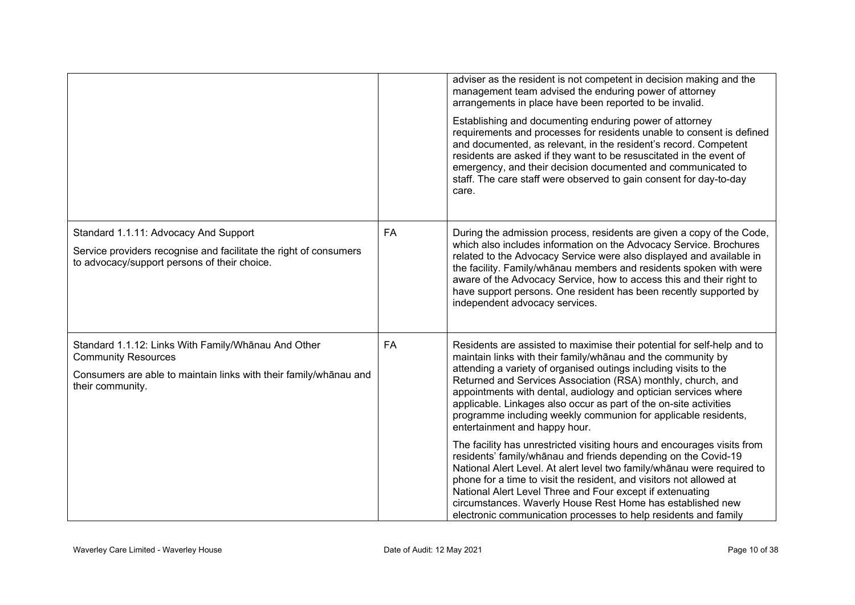|                                                                                                                                                                            |    | adviser as the resident is not competent in decision making and the<br>management team advised the enduring power of attorney<br>arrangements in place have been reported to be invalid.<br>Establishing and documenting enduring power of attorney<br>requirements and processes for residents unable to consent is defined<br>and documented, as relevant, in the resident's record. Competent<br>residents are asked if they want to be resuscitated in the event of<br>emergency, and their decision documented and communicated to<br>staff. The care staff were observed to gain consent for day-to-day<br>care. |
|----------------------------------------------------------------------------------------------------------------------------------------------------------------------------|----|------------------------------------------------------------------------------------------------------------------------------------------------------------------------------------------------------------------------------------------------------------------------------------------------------------------------------------------------------------------------------------------------------------------------------------------------------------------------------------------------------------------------------------------------------------------------------------------------------------------------|
| Standard 1.1.11: Advocacy And Support<br>Service providers recognise and facilitate the right of consumers<br>to advocacy/support persons of their choice.                 | FA | During the admission process, residents are given a copy of the Code,<br>which also includes information on the Advocacy Service. Brochures<br>related to the Advocacy Service were also displayed and available in<br>the facility. Family/whanau members and residents spoken with were<br>aware of the Advocacy Service, how to access this and their right to<br>have support persons. One resident has been recently supported by<br>independent advocacy services.                                                                                                                                               |
| Standard 1.1.12: Links With Family/Whānau And Other<br><b>Community Resources</b><br>Consumers are able to maintain links with their family/whānau and<br>their community. | FA | Residents are assisted to maximise their potential for self-help and to<br>maintain links with their family/whanau and the community by<br>attending a variety of organised outings including visits to the<br>Returned and Services Association (RSA) monthly, church, and<br>appointments with dental, audiology and optician services where<br>applicable. Linkages also occur as part of the on-site activities<br>programme including weekly communion for applicable residents,<br>entertainment and happy hour.                                                                                                 |
|                                                                                                                                                                            |    | The facility has unrestricted visiting hours and encourages visits from<br>residents' family/whanau and friends depending on the Covid-19<br>National Alert Level. At alert level two family/whanau were required to<br>phone for a time to visit the resident, and visitors not allowed at<br>National Alert Level Three and Four except if extenuating<br>circumstances. Waverly House Rest Home has established new<br>electronic communication processes to help residents and family                                                                                                                              |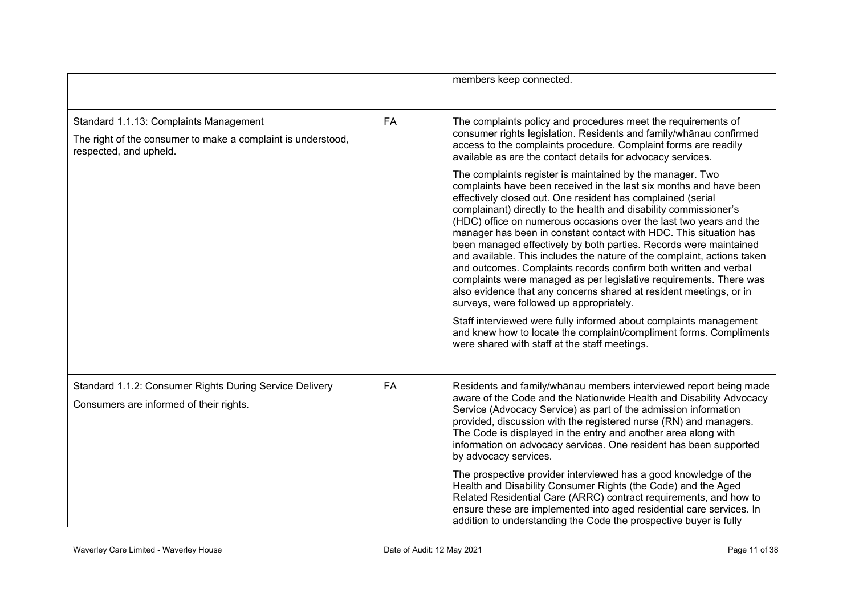|                                                                                                                                  |           | members keep connected.                                                                                                                                                                                                                                                                                                                                                                                                                                                                                                                                                                                                                                                                                                                                                                                                                                                                                                                                                                                                |
|----------------------------------------------------------------------------------------------------------------------------------|-----------|------------------------------------------------------------------------------------------------------------------------------------------------------------------------------------------------------------------------------------------------------------------------------------------------------------------------------------------------------------------------------------------------------------------------------------------------------------------------------------------------------------------------------------------------------------------------------------------------------------------------------------------------------------------------------------------------------------------------------------------------------------------------------------------------------------------------------------------------------------------------------------------------------------------------------------------------------------------------------------------------------------------------|
| Standard 1.1.13: Complaints Management<br>The right of the consumer to make a complaint is understood,<br>respected, and upheld. | FA        | The complaints policy and procedures meet the requirements of<br>consumer rights legislation. Residents and family/whanau confirmed<br>access to the complaints procedure. Complaint forms are readily<br>available as are the contact details for advocacy services.                                                                                                                                                                                                                                                                                                                                                                                                                                                                                                                                                                                                                                                                                                                                                  |
|                                                                                                                                  |           | The complaints register is maintained by the manager. Two<br>complaints have been received in the last six months and have been<br>effectively closed out. One resident has complained (serial<br>complainant) directly to the health and disability commissioner's<br>(HDC) office on numerous occasions over the last two years and the<br>manager has been in constant contact with HDC. This situation has<br>been managed effectively by both parties. Records were maintained<br>and available. This includes the nature of the complaint, actions taken<br>and outcomes. Complaints records confirm both written and verbal<br>complaints were managed as per legislative requirements. There was<br>also evidence that any concerns shared at resident meetings, or in<br>surveys, were followed up appropriately.<br>Staff interviewed were fully informed about complaints management<br>and knew how to locate the complaint/compliment forms. Compliments<br>were shared with staff at the staff meetings. |
| Standard 1.1.2: Consumer Rights During Service Delivery<br>Consumers are informed of their rights.                               | <b>FA</b> | Residents and family/whanau members interviewed report being made<br>aware of the Code and the Nationwide Health and Disability Advocacy<br>Service (Advocacy Service) as part of the admission information<br>provided, discussion with the registered nurse (RN) and managers.<br>The Code is displayed in the entry and another area along with<br>information on advocacy services. One resident has been supported<br>by advocacy services.                                                                                                                                                                                                                                                                                                                                                                                                                                                                                                                                                                       |
|                                                                                                                                  |           | The prospective provider interviewed has a good knowledge of the<br>Health and Disability Consumer Rights (the Code) and the Aged<br>Related Residential Care (ARRC) contract requirements, and how to<br>ensure these are implemented into aged residential care services. In<br>addition to understanding the Code the prospective buyer is fully                                                                                                                                                                                                                                                                                                                                                                                                                                                                                                                                                                                                                                                                    |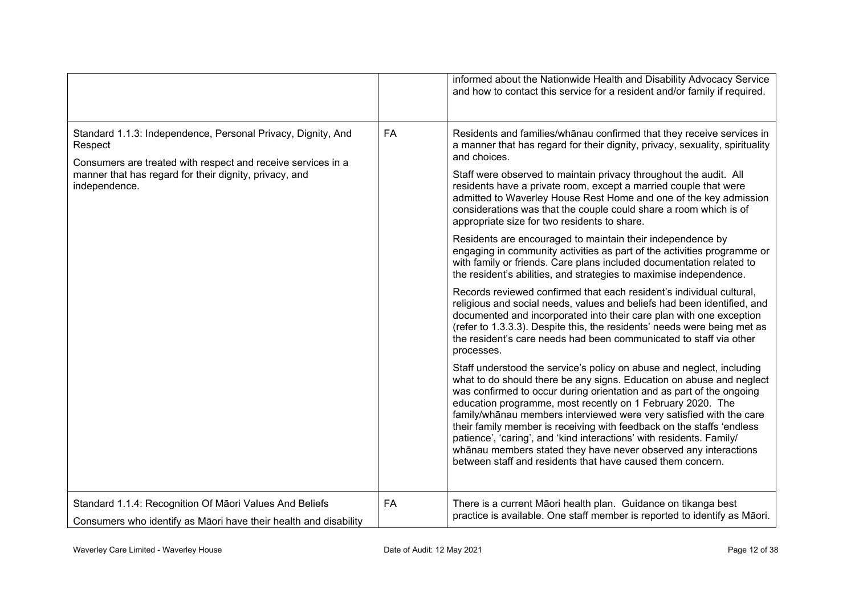|                                                                                                                                         |           | informed about the Nationwide Health and Disability Advocacy Service<br>and how to contact this service for a resident and/or family if required.                                                                                                                                                                                                                                                                                                                                                                                                                                                                                            |
|-----------------------------------------------------------------------------------------------------------------------------------------|-----------|----------------------------------------------------------------------------------------------------------------------------------------------------------------------------------------------------------------------------------------------------------------------------------------------------------------------------------------------------------------------------------------------------------------------------------------------------------------------------------------------------------------------------------------------------------------------------------------------------------------------------------------------|
| Standard 1.1.3: Independence, Personal Privacy, Dignity, And<br>Respect<br>Consumers are treated with respect and receive services in a | <b>FA</b> | Residents and families/whanau confirmed that they receive services in<br>a manner that has regard for their dignity, privacy, sexuality, spirituality<br>and choices.                                                                                                                                                                                                                                                                                                                                                                                                                                                                        |
| manner that has regard for their dignity, privacy, and<br>independence.                                                                 |           | Staff were observed to maintain privacy throughout the audit. All<br>residents have a private room, except a married couple that were<br>admitted to Waverley House Rest Home and one of the key admission<br>considerations was that the couple could share a room which is of<br>appropriate size for two residents to share.                                                                                                                                                                                                                                                                                                              |
|                                                                                                                                         |           | Residents are encouraged to maintain their independence by<br>engaging in community activities as part of the activities programme or<br>with family or friends. Care plans included documentation related to<br>the resident's abilities, and strategies to maximise independence.                                                                                                                                                                                                                                                                                                                                                          |
|                                                                                                                                         |           | Records reviewed confirmed that each resident's individual cultural,<br>religious and social needs, values and beliefs had been identified, and<br>documented and incorporated into their care plan with one exception<br>(refer to 1.3.3.3). Despite this, the residents' needs were being met as<br>the resident's care needs had been communicated to staff via other<br>processes.                                                                                                                                                                                                                                                       |
|                                                                                                                                         |           | Staff understood the service's policy on abuse and neglect, including<br>what to do should there be any signs. Education on abuse and neglect<br>was confirmed to occur during orientation and as part of the ongoing<br>education programme, most recently on 1 February 2020. The<br>family/whanau members interviewed were very satisfied with the care<br>their family member is receiving with feedback on the staffs 'endless<br>patience', 'caring', and 'kind interactions' with residents. Family/<br>whānau members stated they have never observed any interactions<br>between staff and residents that have caused them concern. |
| Standard 1.1.4: Recognition Of Māori Values And Beliefs<br>Consumers who identify as Maori have their health and disability             | FA        | There is a current Māori health plan. Guidance on tikanga best<br>practice is available. One staff member is reported to identify as Māori.                                                                                                                                                                                                                                                                                                                                                                                                                                                                                                  |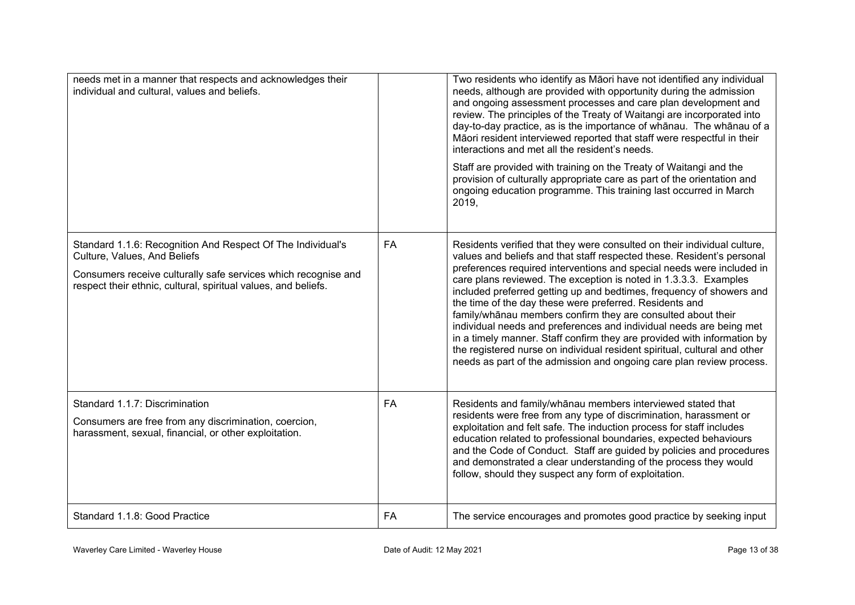| needs met in a manner that respects and acknowledges their<br>individual and cultural, values and beliefs.                                                                                                                      |    | Two residents who identify as Māori have not identified any individual<br>needs, although are provided with opportunity during the admission<br>and ongoing assessment processes and care plan development and<br>review. The principles of the Treaty of Waitangi are incorporated into<br>day-to-day practice, as is the importance of whanau. The whanau of a<br>Māori resident interviewed reported that staff were respectful in their<br>interactions and met all the resident's needs.<br>Staff are provided with training on the Treaty of Waitangi and the<br>provision of culturally appropriate care as part of the orientation and<br>ongoing education programme. This training last occurred in March<br>2019,                                                                              |
|---------------------------------------------------------------------------------------------------------------------------------------------------------------------------------------------------------------------------------|----|-----------------------------------------------------------------------------------------------------------------------------------------------------------------------------------------------------------------------------------------------------------------------------------------------------------------------------------------------------------------------------------------------------------------------------------------------------------------------------------------------------------------------------------------------------------------------------------------------------------------------------------------------------------------------------------------------------------------------------------------------------------------------------------------------------------|
| Standard 1.1.6: Recognition And Respect Of The Individual's<br>Culture, Values, And Beliefs<br>Consumers receive culturally safe services which recognise and<br>respect their ethnic, cultural, spiritual values, and beliefs. | FA | Residents verified that they were consulted on their individual culture,<br>values and beliefs and that staff respected these. Resident's personal<br>preferences required interventions and special needs were included in<br>care plans reviewed. The exception is noted in 1.3.3.3. Examples<br>included preferred getting up and bedtimes, frequency of showers and<br>the time of the day these were preferred. Residents and<br>family/whānau members confirm they are consulted about their<br>individual needs and preferences and individual needs are being met<br>in a timely manner. Staff confirm they are provided with information by<br>the registered nurse on individual resident spiritual, cultural and other<br>needs as part of the admission and ongoing care plan review process. |
| Standard 1.1.7: Discrimination<br>Consumers are free from any discrimination, coercion,<br>harassment, sexual, financial, or other exploitation.                                                                                | FA | Residents and family/whanau members interviewed stated that<br>residents were free from any type of discrimination, harassment or<br>exploitation and felt safe. The induction process for staff includes<br>education related to professional boundaries, expected behaviours<br>and the Code of Conduct. Staff are guided by policies and procedures<br>and demonstrated a clear understanding of the process they would<br>follow, should they suspect any form of exploitation.                                                                                                                                                                                                                                                                                                                       |
| Standard 1.1.8: Good Practice                                                                                                                                                                                                   | FA | The service encourages and promotes good practice by seeking input                                                                                                                                                                                                                                                                                                                                                                                                                                                                                                                                                                                                                                                                                                                                        |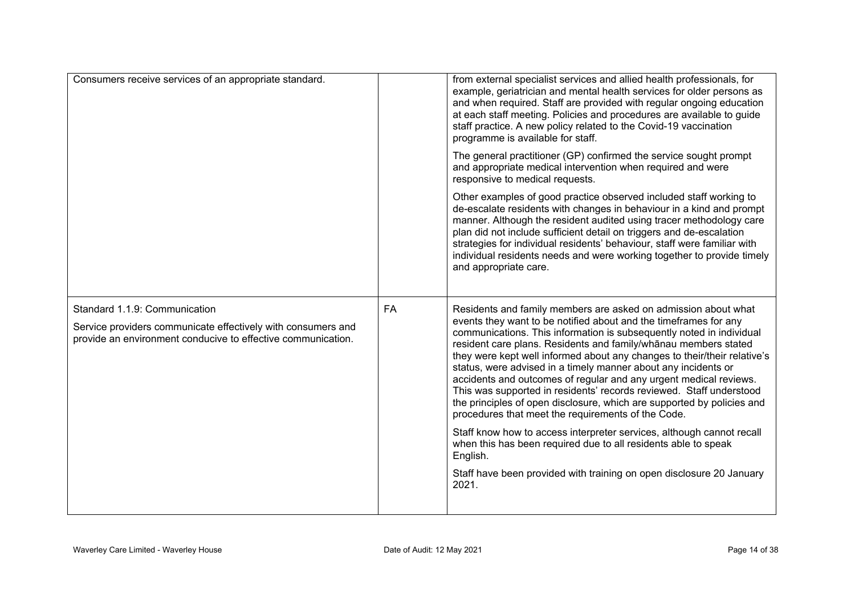| Consumers receive services of an appropriate standard.                                                                                                        |    | from external specialist services and allied health professionals, for<br>example, geriatrician and mental health services for older persons as<br>and when required. Staff are provided with regular ongoing education<br>at each staff meeting. Policies and procedures are available to guide<br>staff practice. A new policy related to the Covid-19 vaccination<br>programme is available for staff.                                                                                                                                                                                                                                                                                               |
|---------------------------------------------------------------------------------------------------------------------------------------------------------------|----|---------------------------------------------------------------------------------------------------------------------------------------------------------------------------------------------------------------------------------------------------------------------------------------------------------------------------------------------------------------------------------------------------------------------------------------------------------------------------------------------------------------------------------------------------------------------------------------------------------------------------------------------------------------------------------------------------------|
|                                                                                                                                                               |    | The general practitioner (GP) confirmed the service sought prompt<br>and appropriate medical intervention when required and were<br>responsive to medical requests.                                                                                                                                                                                                                                                                                                                                                                                                                                                                                                                                     |
|                                                                                                                                                               |    | Other examples of good practice observed included staff working to<br>de-escalate residents with changes in behaviour in a kind and prompt<br>manner. Although the resident audited using tracer methodology care<br>plan did not include sufficient detail on triggers and de-escalation<br>strategies for individual residents' behaviour, staff were familiar with<br>individual residents needs and were working together to provide timely<br>and appropriate care.                                                                                                                                                                                                                                |
| Standard 1.1.9: Communication<br>Service providers communicate effectively with consumers and<br>provide an environment conducive to effective communication. | FA | Residents and family members are asked on admission about what<br>events they want to be notified about and the timeframes for any<br>communications. This information is subsequently noted in individual<br>resident care plans. Residents and family/whanau members stated<br>they were kept well informed about any changes to their/their relative's<br>status, were advised in a timely manner about any incidents or<br>accidents and outcomes of regular and any urgent medical reviews.<br>This was supported in residents' records reviewed. Staff understood<br>the principles of open disclosure, which are supported by policies and<br>procedures that meet the requirements of the Code. |
|                                                                                                                                                               |    | Staff know how to access interpreter services, although cannot recall<br>when this has been required due to all residents able to speak<br>English.                                                                                                                                                                                                                                                                                                                                                                                                                                                                                                                                                     |
|                                                                                                                                                               |    | Staff have been provided with training on open disclosure 20 January<br>2021.                                                                                                                                                                                                                                                                                                                                                                                                                                                                                                                                                                                                                           |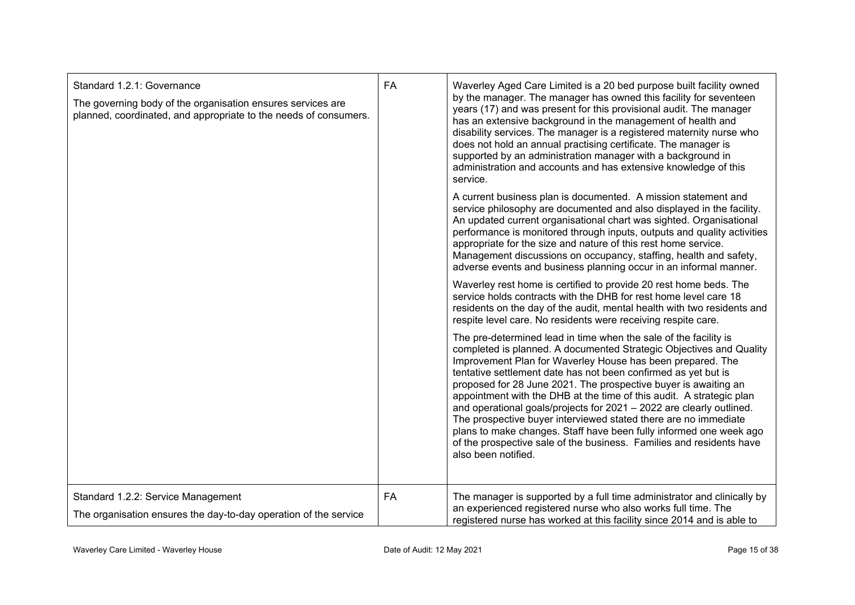| Standard 1.2.1: Governance<br>The governing body of the organisation ensures services are<br>planned, coordinated, and appropriate to the needs of consumers. | FA | Waverley Aged Care Limited is a 20 bed purpose built facility owned<br>by the manager. The manager has owned this facility for seventeen<br>years (17) and was present for this provisional audit. The manager<br>has an extensive background in the management of health and<br>disability services. The manager is a registered maternity nurse who<br>does not hold an annual practising certificate. The manager is<br>supported by an administration manager with a background in<br>administration and accounts and has extensive knowledge of this<br>service.                                                                                                                                                              |
|---------------------------------------------------------------------------------------------------------------------------------------------------------------|----|------------------------------------------------------------------------------------------------------------------------------------------------------------------------------------------------------------------------------------------------------------------------------------------------------------------------------------------------------------------------------------------------------------------------------------------------------------------------------------------------------------------------------------------------------------------------------------------------------------------------------------------------------------------------------------------------------------------------------------|
|                                                                                                                                                               |    | A current business plan is documented. A mission statement and<br>service philosophy are documented and also displayed in the facility.<br>An updated current organisational chart was sighted. Organisational<br>performance is monitored through inputs, outputs and quality activities<br>appropriate for the size and nature of this rest home service.<br>Management discussions on occupancy, staffing, health and safety,<br>adverse events and business planning occur in an informal manner.                                                                                                                                                                                                                              |
|                                                                                                                                                               |    | Waverley rest home is certified to provide 20 rest home beds. The<br>service holds contracts with the DHB for rest home level care 18<br>residents on the day of the audit, mental health with two residents and<br>respite level care. No residents were receiving respite care.                                                                                                                                                                                                                                                                                                                                                                                                                                                  |
|                                                                                                                                                               |    | The pre-determined lead in time when the sale of the facility is<br>completed is planned. A documented Strategic Objectives and Quality<br>Improvement Plan for Waverley House has been prepared. The<br>tentative settlement date has not been confirmed as yet but is<br>proposed for 28 June 2021. The prospective buyer is awaiting an<br>appointment with the DHB at the time of this audit. A strategic plan<br>and operational goals/projects for 2021 - 2022 are clearly outlined.<br>The prospective buyer interviewed stated there are no immediate<br>plans to make changes. Staff have been fully informed one week ago<br>of the prospective sale of the business. Families and residents have<br>also been notified. |
| Standard 1.2.2: Service Management<br>The organisation ensures the day-to-day operation of the service                                                        | FA | The manager is supported by a full time administrator and clinically by<br>an experienced registered nurse who also works full time. The<br>registered nurse has worked at this facility since 2014 and is able to                                                                                                                                                                                                                                                                                                                                                                                                                                                                                                                 |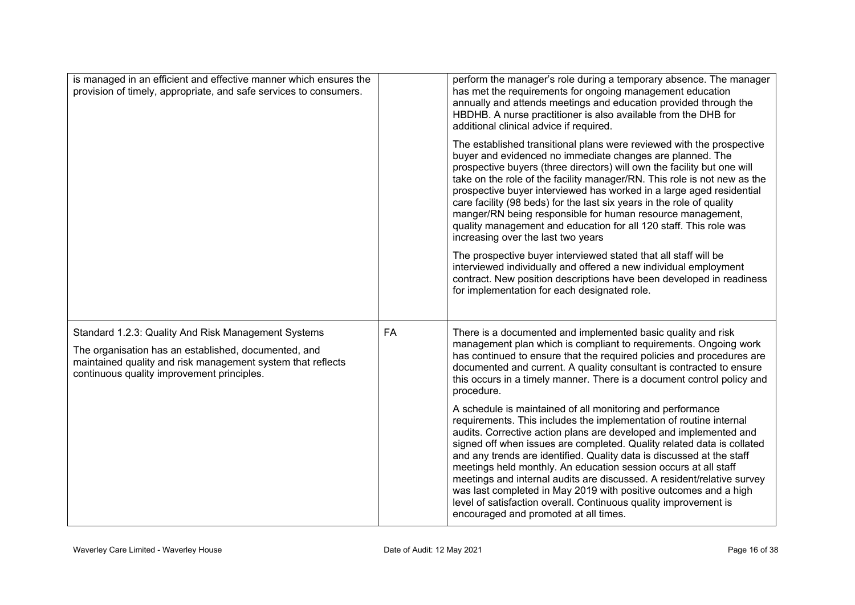| is managed in an efficient and effective manner which ensures the<br>provision of timely, appropriate, and safe services to consumers.                                                                                   |    | perform the manager's role during a temporary absence. The manager<br>has met the requirements for ongoing management education<br>annually and attends meetings and education provided through the<br>HBDHB. A nurse practitioner is also available from the DHB for<br>additional clinical advice if required.                                                                                                                                                                                                                                                                                                                                                                       |
|--------------------------------------------------------------------------------------------------------------------------------------------------------------------------------------------------------------------------|----|----------------------------------------------------------------------------------------------------------------------------------------------------------------------------------------------------------------------------------------------------------------------------------------------------------------------------------------------------------------------------------------------------------------------------------------------------------------------------------------------------------------------------------------------------------------------------------------------------------------------------------------------------------------------------------------|
|                                                                                                                                                                                                                          |    | The established transitional plans were reviewed with the prospective<br>buyer and evidenced no immediate changes are planned. The<br>prospective buyers (three directors) will own the facility but one will<br>take on the role of the facility manager/RN. This role is not new as the<br>prospective buyer interviewed has worked in a large aged residential<br>care facility (98 beds) for the last six years in the role of quality<br>manger/RN being responsible for human resource management,<br>quality management and education for all 120 staff. This role was<br>increasing over the last two years                                                                    |
|                                                                                                                                                                                                                          |    | The prospective buyer interviewed stated that all staff will be<br>interviewed individually and offered a new individual employment<br>contract. New position descriptions have been developed in readiness<br>for implementation for each designated role.                                                                                                                                                                                                                                                                                                                                                                                                                            |
| Standard 1.2.3: Quality And Risk Management Systems<br>The organisation has an established, documented, and<br>maintained quality and risk management system that reflects<br>continuous quality improvement principles. | FA | There is a documented and implemented basic quality and risk<br>management plan which is compliant to requirements. Ongoing work<br>has continued to ensure that the required policies and procedures are<br>documented and current. A quality consultant is contracted to ensure<br>this occurs in a timely manner. There is a document control policy and<br>procedure.                                                                                                                                                                                                                                                                                                              |
|                                                                                                                                                                                                                          |    | A schedule is maintained of all monitoring and performance<br>requirements. This includes the implementation of routine internal<br>audits. Corrective action plans are developed and implemented and<br>signed off when issues are completed. Quality related data is collated<br>and any trends are identified. Quality data is discussed at the staff<br>meetings held monthly. An education session occurs at all staff<br>meetings and internal audits are discussed. A resident/relative survey<br>was last completed in May 2019 with positive outcomes and a high<br>level of satisfaction overall. Continuous quality improvement is<br>encouraged and promoted at all times. |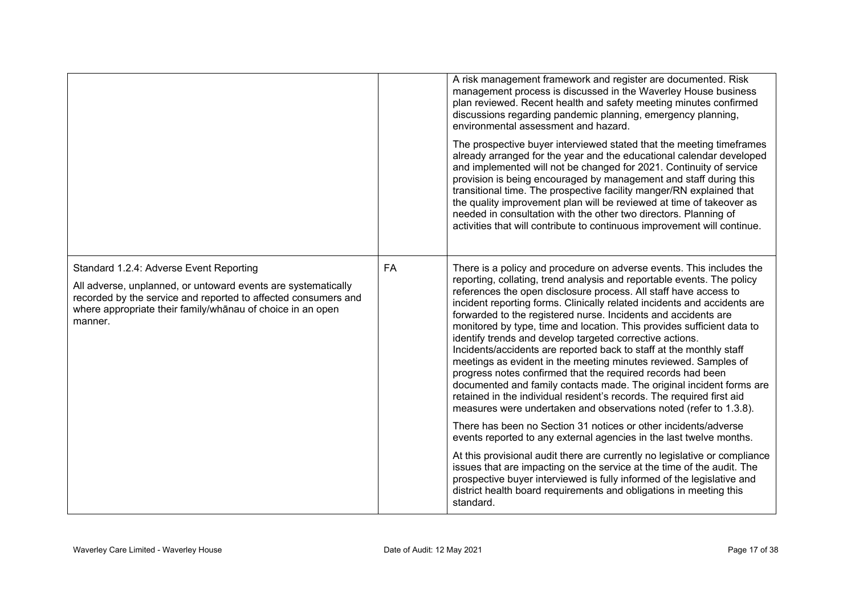|                                                                                                                                                                                                                                                     |    | A risk management framework and register are documented. Risk<br>management process is discussed in the Waverley House business<br>plan reviewed. Recent health and safety meeting minutes confirmed<br>discussions regarding pandemic planning, emergency planning,<br>environmental assessment and hazard.<br>The prospective buyer interviewed stated that the meeting timeframes<br>already arranged for the year and the educational calendar developed<br>and implemented will not be changed for 2021. Continuity of service<br>provision is being encouraged by management and staff during this<br>transitional time. The prospective facility manger/RN explained that<br>the quality improvement plan will be reviewed at time of takeover as<br>needed in consultation with the other two directors. Planning of<br>activities that will contribute to continuous improvement will continue.                              |
|-----------------------------------------------------------------------------------------------------------------------------------------------------------------------------------------------------------------------------------------------------|----|---------------------------------------------------------------------------------------------------------------------------------------------------------------------------------------------------------------------------------------------------------------------------------------------------------------------------------------------------------------------------------------------------------------------------------------------------------------------------------------------------------------------------------------------------------------------------------------------------------------------------------------------------------------------------------------------------------------------------------------------------------------------------------------------------------------------------------------------------------------------------------------------------------------------------------------|
| Standard 1.2.4: Adverse Event Reporting<br>All adverse, unplanned, or untoward events are systematically<br>recorded by the service and reported to affected consumers and<br>where appropriate their family/whanau of choice in an open<br>manner. | FA | There is a policy and procedure on adverse events. This includes the<br>reporting, collating, trend analysis and reportable events. The policy<br>references the open disclosure process. All staff have access to<br>incident reporting forms. Clinically related incidents and accidents are<br>forwarded to the registered nurse. Incidents and accidents are<br>monitored by type, time and location. This provides sufficient data to<br>identify trends and develop targeted corrective actions.<br>Incidents/accidents are reported back to staff at the monthly staff<br>meetings as evident in the meeting minutes reviewed. Samples of<br>progress notes confirmed that the required records had been<br>documented and family contacts made. The original incident forms are<br>retained in the individual resident's records. The required first aid<br>measures were undertaken and observations noted (refer to 1.3.8). |
|                                                                                                                                                                                                                                                     |    | There has been no Section 31 notices or other incidents/adverse<br>events reported to any external agencies in the last twelve months.                                                                                                                                                                                                                                                                                                                                                                                                                                                                                                                                                                                                                                                                                                                                                                                                |
|                                                                                                                                                                                                                                                     |    | At this provisional audit there are currently no legislative or compliance<br>issues that are impacting on the service at the time of the audit. The<br>prospective buyer interviewed is fully informed of the legislative and<br>district health board requirements and obligations in meeting this<br>standard.                                                                                                                                                                                                                                                                                                                                                                                                                                                                                                                                                                                                                     |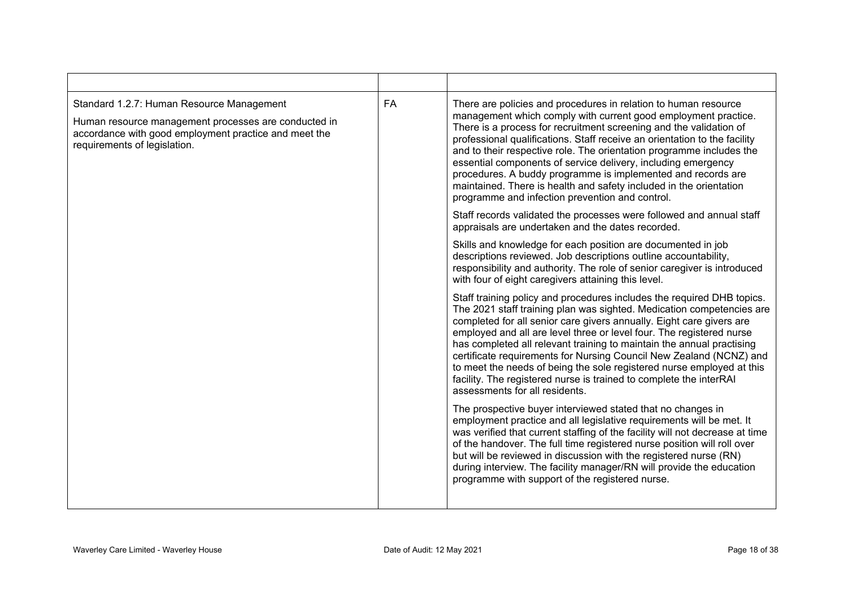| Standard 1.2.7: Human Resource Management<br>Human resource management processes are conducted in<br>accordance with good employment practice and meet the<br>requirements of legislation. | <b>FA</b> | There are policies and procedures in relation to human resource<br>management which comply with current good employment practice.<br>There is a process for recruitment screening and the validation of<br>professional qualifications. Staff receive an orientation to the facility<br>and to their respective role. The orientation programme includes the<br>essential components of service delivery, including emergency<br>procedures. A buddy programme is implemented and records are<br>maintained. There is health and safety included in the orientation<br>programme and infection prevention and control.           |
|--------------------------------------------------------------------------------------------------------------------------------------------------------------------------------------------|-----------|----------------------------------------------------------------------------------------------------------------------------------------------------------------------------------------------------------------------------------------------------------------------------------------------------------------------------------------------------------------------------------------------------------------------------------------------------------------------------------------------------------------------------------------------------------------------------------------------------------------------------------|
|                                                                                                                                                                                            |           | Staff records validated the processes were followed and annual staff<br>appraisals are undertaken and the dates recorded.                                                                                                                                                                                                                                                                                                                                                                                                                                                                                                        |
|                                                                                                                                                                                            |           | Skills and knowledge for each position are documented in job<br>descriptions reviewed. Job descriptions outline accountability,<br>responsibility and authority. The role of senior caregiver is introduced<br>with four of eight caregivers attaining this level.                                                                                                                                                                                                                                                                                                                                                               |
|                                                                                                                                                                                            |           | Staff training policy and procedures includes the required DHB topics.<br>The 2021 staff training plan was sighted. Medication competencies are<br>completed for all senior care givers annually. Eight care givers are<br>employed and all are level three or level four. The registered nurse<br>has completed all relevant training to maintain the annual practising<br>certificate requirements for Nursing Council New Zealand (NCNZ) and<br>to meet the needs of being the sole registered nurse employed at this<br>facility. The registered nurse is trained to complete the interRAI<br>assessments for all residents. |
|                                                                                                                                                                                            |           | The prospective buyer interviewed stated that no changes in<br>employment practice and all legislative requirements will be met. It<br>was verified that current staffing of the facility will not decrease at time<br>of the handover. The full time registered nurse position will roll over<br>but will be reviewed in discussion with the registered nurse (RN)<br>during interview. The facility manager/RN will provide the education<br>programme with support of the registered nurse.                                                                                                                                   |
|                                                                                                                                                                                            |           |                                                                                                                                                                                                                                                                                                                                                                                                                                                                                                                                                                                                                                  |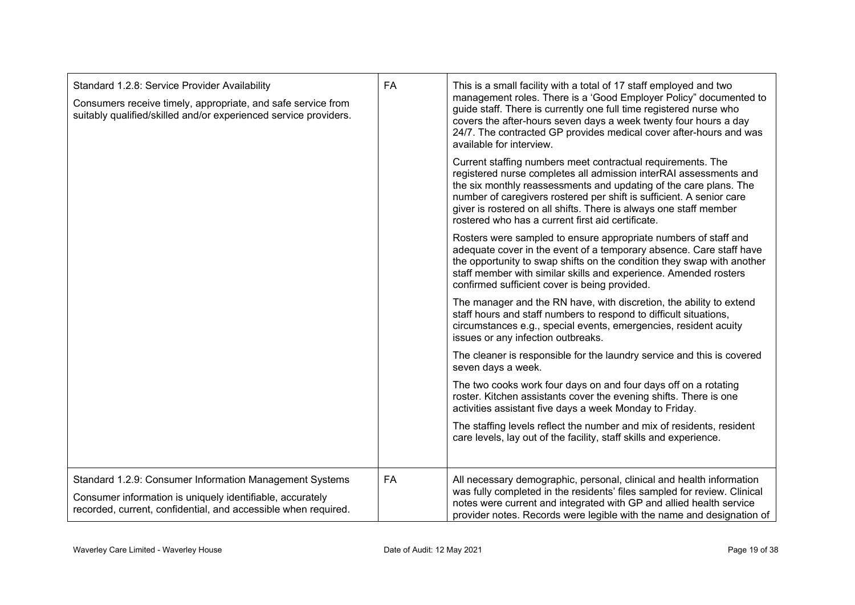| Standard 1.2.8: Service Provider Availability<br>Consumers receive timely, appropriate, and safe service from<br>suitably qualified/skilled and/or experienced service providers.      | FA | This is a small facility with a total of 17 staff employed and two<br>management roles. There is a 'Good Employer Policy" documented to<br>guide staff. There is currently one full time registered nurse who<br>covers the after-hours seven days a week twenty four hours a day<br>24/7. The contracted GP provides medical cover after-hours and was<br>available for interview.<br>Current staffing numbers meet contractual requirements. The<br>registered nurse completes all admission interRAI assessments and<br>the six monthly reassessments and updating of the care plans. The<br>number of caregivers rostered per shift is sufficient. A senior care<br>giver is rostered on all shifts. There is always one staff member<br>rostered who has a current first aid certificate.<br>Rosters were sampled to ensure appropriate numbers of staff and<br>adequate cover in the event of a temporary absence. Care staff have<br>the opportunity to swap shifts on the condition they swap with another<br>staff member with similar skills and experience. Amended rosters<br>confirmed sufficient cover is being provided.<br>The manager and the RN have, with discretion, the ability to extend<br>staff hours and staff numbers to respond to difficult situations,<br>circumstances e.g., special events, emergencies, resident acuity<br>issues or any infection outbreaks.<br>The cleaner is responsible for the laundry service and this is covered<br>seven days a week.<br>The two cooks work four days on and four days off on a rotating<br>roster. Kitchen assistants cover the evening shifts. There is one |
|----------------------------------------------------------------------------------------------------------------------------------------------------------------------------------------|----|---------------------------------------------------------------------------------------------------------------------------------------------------------------------------------------------------------------------------------------------------------------------------------------------------------------------------------------------------------------------------------------------------------------------------------------------------------------------------------------------------------------------------------------------------------------------------------------------------------------------------------------------------------------------------------------------------------------------------------------------------------------------------------------------------------------------------------------------------------------------------------------------------------------------------------------------------------------------------------------------------------------------------------------------------------------------------------------------------------------------------------------------------------------------------------------------------------------------------------------------------------------------------------------------------------------------------------------------------------------------------------------------------------------------------------------------------------------------------------------------------------------------------------------------------------------------------------------------------------------------------------------|
|                                                                                                                                                                                        |    | activities assistant five days a week Monday to Friday.                                                                                                                                                                                                                                                                                                                                                                                                                                                                                                                                                                                                                                                                                                                                                                                                                                                                                                                                                                                                                                                                                                                                                                                                                                                                                                                                                                                                                                                                                                                                                                               |
|                                                                                                                                                                                        |    | The staffing levels reflect the number and mix of residents, resident<br>care levels, lay out of the facility, staff skills and experience.                                                                                                                                                                                                                                                                                                                                                                                                                                                                                                                                                                                                                                                                                                                                                                                                                                                                                                                                                                                                                                                                                                                                                                                                                                                                                                                                                                                                                                                                                           |
| Standard 1.2.9: Consumer Information Management Systems<br>Consumer information is uniquely identifiable, accurately<br>recorded, current, confidential, and accessible when required. | FA | All necessary demographic, personal, clinical and health information<br>was fully completed in the residents' files sampled for review. Clinical<br>notes were current and integrated with GP and allied health service<br>provider notes. Records were legible with the name and designation of                                                                                                                                                                                                                                                                                                                                                                                                                                                                                                                                                                                                                                                                                                                                                                                                                                                                                                                                                                                                                                                                                                                                                                                                                                                                                                                                      |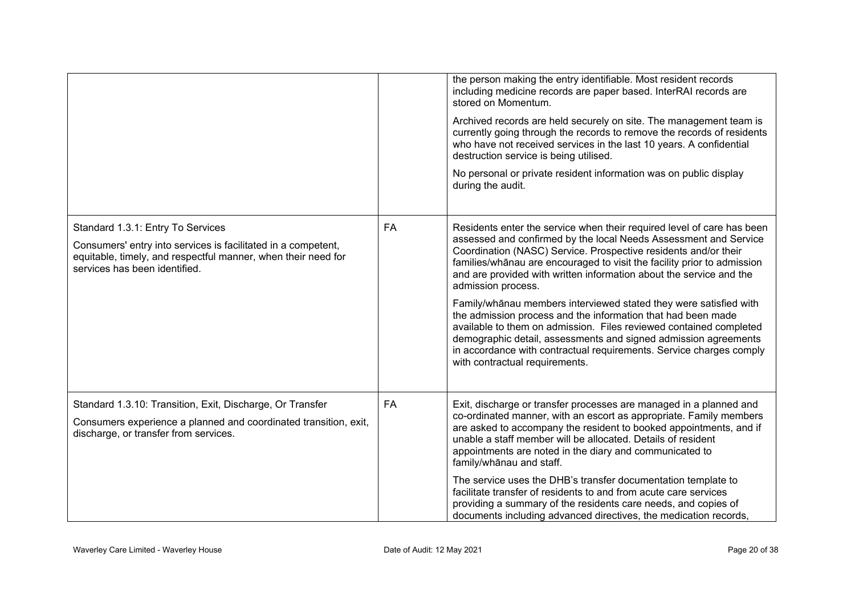|                                                                                                                                                                                                      |    | the person making the entry identifiable. Most resident records<br>including medicine records are paper based. InterRAI records are<br>stored on Momentum.<br>Archived records are held securely on site. The management team is<br>currently going through the records to remove the records of residents<br>who have not received services in the last 10 years. A confidential<br>destruction service is being utilised.<br>No personal or private resident information was on public display<br>during the audit.                                                                                                                                                                                                                                                        |
|------------------------------------------------------------------------------------------------------------------------------------------------------------------------------------------------------|----|------------------------------------------------------------------------------------------------------------------------------------------------------------------------------------------------------------------------------------------------------------------------------------------------------------------------------------------------------------------------------------------------------------------------------------------------------------------------------------------------------------------------------------------------------------------------------------------------------------------------------------------------------------------------------------------------------------------------------------------------------------------------------|
| Standard 1.3.1: Entry To Services<br>Consumers' entry into services is facilitated in a competent,<br>equitable, timely, and respectful manner, when their need for<br>services has been identified. | FA | Residents enter the service when their required level of care has been<br>assessed and confirmed by the local Needs Assessment and Service<br>Coordination (NASC) Service. Prospective residents and/or their<br>families/whanau are encouraged to visit the facility prior to admission<br>and are provided with written information about the service and the<br>admission process.<br>Family/whanau members interviewed stated they were satisfied with<br>the admission process and the information that had been made<br>available to them on admission. Files reviewed contained completed<br>demographic detail, assessments and signed admission agreements<br>in accordance with contractual requirements. Service charges comply<br>with contractual requirements. |
| Standard 1.3.10: Transition, Exit, Discharge, Or Transfer<br>Consumers experience a planned and coordinated transition, exit,<br>discharge, or transfer from services.                               | FA | Exit, discharge or transfer processes are managed in a planned and<br>co-ordinated manner, with an escort as appropriate. Family members<br>are asked to accompany the resident to booked appointments, and if<br>unable a staff member will be allocated. Details of resident<br>appointments are noted in the diary and communicated to<br>family/whanau and staff.<br>The service uses the DHB's transfer documentation template to<br>facilitate transfer of residents to and from acute care services<br>providing a summary of the residents care needs, and copies of<br>documents including advanced directives, the medication records,                                                                                                                             |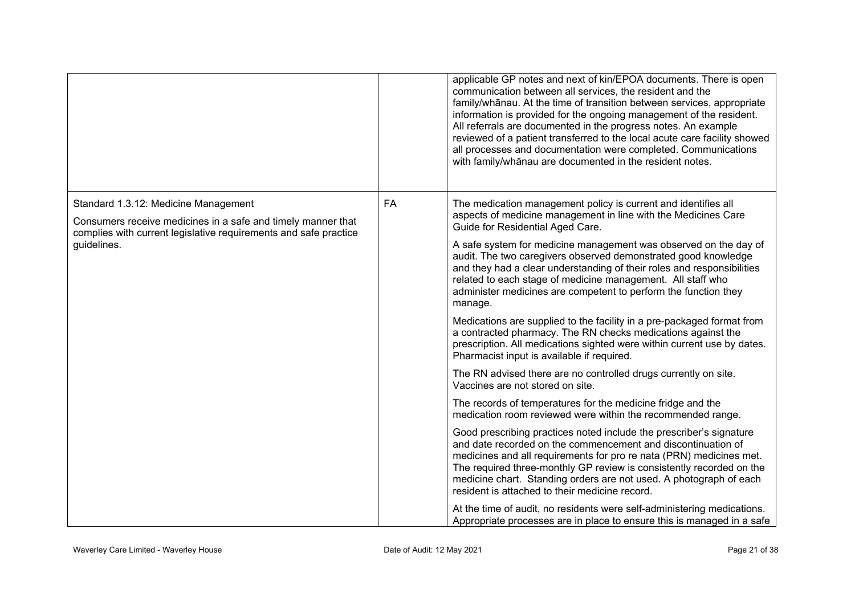|                                                                                                                                                                          |           | applicable GP notes and next of kin/EPOA documents. There is open<br>communication between all services, the resident and the<br>family/whanau. At the time of transition between services, appropriate<br>information is provided for the ongoing management of the resident.<br>All referrals are documented in the progress notes. An example<br>reviewed of a patient transferred to the local acute care facility showed<br>all processes and documentation were completed. Communications<br>with family/whanau are documented in the resident notes. |
|--------------------------------------------------------------------------------------------------------------------------------------------------------------------------|-----------|-------------------------------------------------------------------------------------------------------------------------------------------------------------------------------------------------------------------------------------------------------------------------------------------------------------------------------------------------------------------------------------------------------------------------------------------------------------------------------------------------------------------------------------------------------------|
| Standard 1.3.12: Medicine Management<br>Consumers receive medicines in a safe and timely manner that<br>complies with current legislative requirements and safe practice | <b>FA</b> | The medication management policy is current and identifies all<br>aspects of medicine management in line with the Medicines Care<br>Guide for Residential Aged Care.                                                                                                                                                                                                                                                                                                                                                                                        |
| guidelines.                                                                                                                                                              |           | A safe system for medicine management was observed on the day of<br>audit. The two caregivers observed demonstrated good knowledge<br>and they had a clear understanding of their roles and responsibilities<br>related to each stage of medicine management. All staff who<br>administer medicines are competent to perform the function they<br>manage.                                                                                                                                                                                                   |
|                                                                                                                                                                          |           | Medications are supplied to the facility in a pre-packaged format from<br>a contracted pharmacy. The RN checks medications against the<br>prescription. All medications sighted were within current use by dates.<br>Pharmacist input is available if required.                                                                                                                                                                                                                                                                                             |
|                                                                                                                                                                          |           | The RN advised there are no controlled drugs currently on site.<br>Vaccines are not stored on site.                                                                                                                                                                                                                                                                                                                                                                                                                                                         |
|                                                                                                                                                                          |           | The records of temperatures for the medicine fridge and the<br>medication room reviewed were within the recommended range.                                                                                                                                                                                                                                                                                                                                                                                                                                  |
|                                                                                                                                                                          |           | Good prescribing practices noted include the prescriber's signature<br>and date recorded on the commencement and discontinuation of<br>medicines and all requirements for pro re nata (PRN) medicines met.<br>The required three-monthly GP review is consistently recorded on the<br>medicine chart. Standing orders are not used. A photograph of each<br>resident is attached to their medicine record.                                                                                                                                                  |
|                                                                                                                                                                          |           | At the time of audit, no residents were self-administering medications.<br>Appropriate processes are in place to ensure this is managed in a safe                                                                                                                                                                                                                                                                                                                                                                                                           |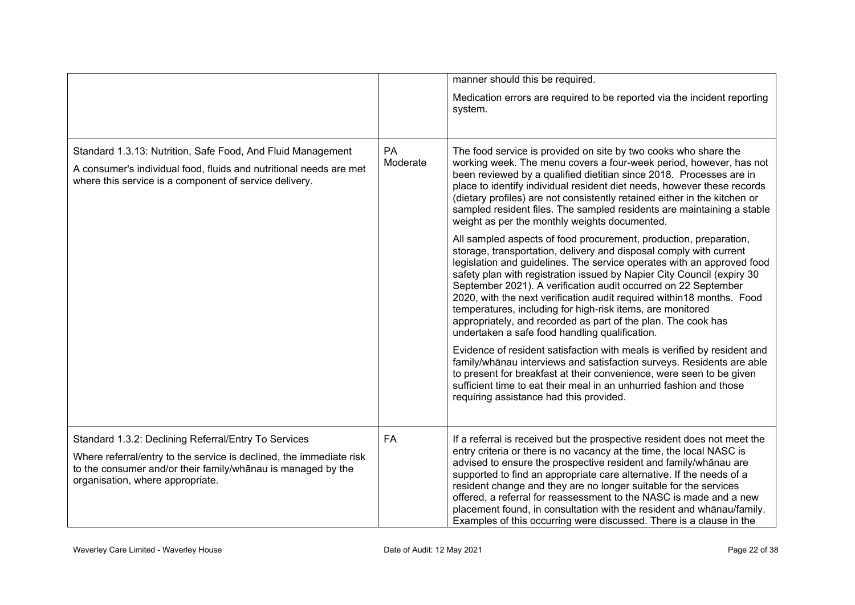|                                                                                                                                                                                                                                 |                | manner should this be required.                                                                                                                                                                                                                                                                                                                                                                                                                                                                                                                                                                                         |
|---------------------------------------------------------------------------------------------------------------------------------------------------------------------------------------------------------------------------------|----------------|-------------------------------------------------------------------------------------------------------------------------------------------------------------------------------------------------------------------------------------------------------------------------------------------------------------------------------------------------------------------------------------------------------------------------------------------------------------------------------------------------------------------------------------------------------------------------------------------------------------------------|
|                                                                                                                                                                                                                                 |                | Medication errors are required to be reported via the incident reporting<br>system.                                                                                                                                                                                                                                                                                                                                                                                                                                                                                                                                     |
| Standard 1.3.13: Nutrition, Safe Food, And Fluid Management<br>A consumer's individual food, fluids and nutritional needs are met<br>where this service is a component of service delivery.                                     | PA<br>Moderate | The food service is provided on site by two cooks who share the<br>working week. The menu covers a four-week period, however, has not<br>been reviewed by a qualified dietitian since 2018. Processes are in<br>place to identify individual resident diet needs, however these records<br>(dietary profiles) are not consistently retained either in the kitchen or<br>sampled resident files. The sampled residents are maintaining a stable<br>weight as per the monthly weights documented.                                                                                                                         |
|                                                                                                                                                                                                                                 |                | All sampled aspects of food procurement, production, preparation,<br>storage, transportation, delivery and disposal comply with current<br>legislation and guidelines. The service operates with an approved food<br>safety plan with registration issued by Napier City Council (expiry 30<br>September 2021). A verification audit occurred on 22 September<br>2020, with the next verification audit required within18 months. Food<br>temperatures, including for high-risk items, are monitored<br>appropriately, and recorded as part of the plan. The cook has<br>undertaken a safe food handling qualification. |
|                                                                                                                                                                                                                                 |                | Evidence of resident satisfaction with meals is verified by resident and<br>family/whanau interviews and satisfaction surveys. Residents are able<br>to present for breakfast at their convenience, were seen to be given<br>sufficient time to eat their meal in an unhurried fashion and those<br>requiring assistance had this provided.                                                                                                                                                                                                                                                                             |
| Standard 1.3.2: Declining Referral/Entry To Services<br>Where referral/entry to the service is declined, the immediate risk<br>to the consumer and/or their family/whanau is managed by the<br>organisation, where appropriate. | FA             | If a referral is received but the prospective resident does not meet the<br>entry criteria or there is no vacancy at the time, the local NASC is<br>advised to ensure the prospective resident and family/whanau are<br>supported to find an appropriate care alternative. If the needs of a<br>resident change and they are no longer suitable for the services<br>offered, a referral for reassessment to the NASC is made and a new<br>placement found, in consultation with the resident and whānau/family.<br>Examples of this occurring were discussed. There is a clause in the                                  |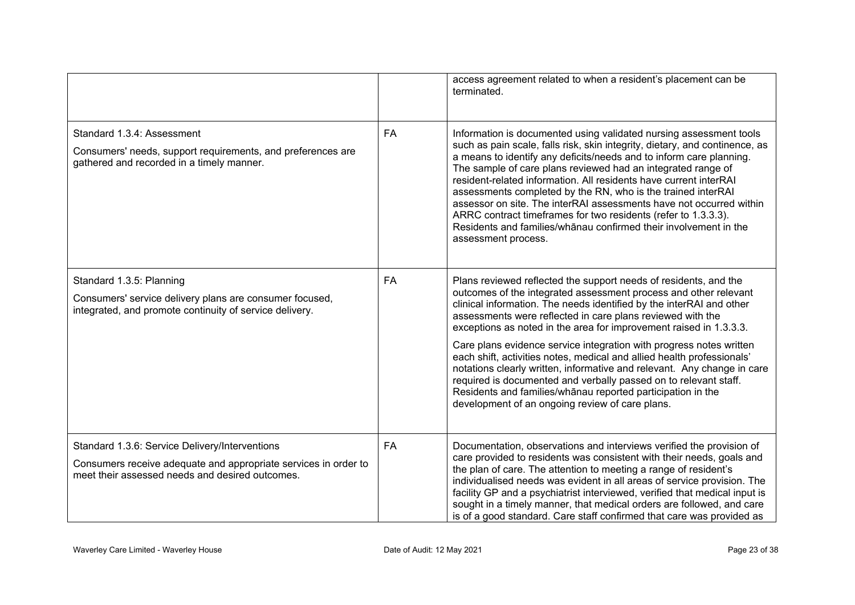|                                                                                                                                                                      |    | access agreement related to when a resident's placement can be<br>terminated.                                                                                                                                                                                                                                                                                                                                                                                                                                                                                                                                                                                     |
|----------------------------------------------------------------------------------------------------------------------------------------------------------------------|----|-------------------------------------------------------------------------------------------------------------------------------------------------------------------------------------------------------------------------------------------------------------------------------------------------------------------------------------------------------------------------------------------------------------------------------------------------------------------------------------------------------------------------------------------------------------------------------------------------------------------------------------------------------------------|
| Standard 1.3.4: Assessment<br>Consumers' needs, support requirements, and preferences are<br>gathered and recorded in a timely manner.                               | FA | Information is documented using validated nursing assessment tools<br>such as pain scale, falls risk, skin integrity, dietary, and continence, as<br>a means to identify any deficits/needs and to inform care planning.<br>The sample of care plans reviewed had an integrated range of<br>resident-related information. All residents have current interRAI<br>assessments completed by the RN, who is the trained interRAI<br>assessor on site. The interRAI assessments have not occurred within<br>ARRC contract timeframes for two residents (refer to 1.3.3.3).<br>Residents and families/whanau confirmed their involvement in the<br>assessment process. |
| Standard 1.3.5: Planning<br>Consumers' service delivery plans are consumer focused,<br>integrated, and promote continuity of service delivery.                       | FA | Plans reviewed reflected the support needs of residents, and the<br>outcomes of the integrated assessment process and other relevant<br>clinical information. The needs identified by the interRAI and other<br>assessments were reflected in care plans reviewed with the<br>exceptions as noted in the area for improvement raised in 1.3.3.3.                                                                                                                                                                                                                                                                                                                  |
|                                                                                                                                                                      |    | Care plans evidence service integration with progress notes written<br>each shift, activities notes, medical and allied health professionals'<br>notations clearly written, informative and relevant. Any change in care<br>required is documented and verbally passed on to relevant staff.<br>Residents and families/whanau reported participation in the<br>development of an ongoing review of care plans.                                                                                                                                                                                                                                                    |
| Standard 1.3.6: Service Delivery/Interventions<br>Consumers receive adequate and appropriate services in order to<br>meet their assessed needs and desired outcomes. | FA | Documentation, observations and interviews verified the provision of<br>care provided to residents was consistent with their needs, goals and<br>the plan of care. The attention to meeting a range of resident's<br>individualised needs was evident in all areas of service provision. The<br>facility GP and a psychiatrist interviewed, verified that medical input is<br>sought in a timely manner, that medical orders are followed, and care<br>is of a good standard. Care staff confirmed that care was provided as                                                                                                                                      |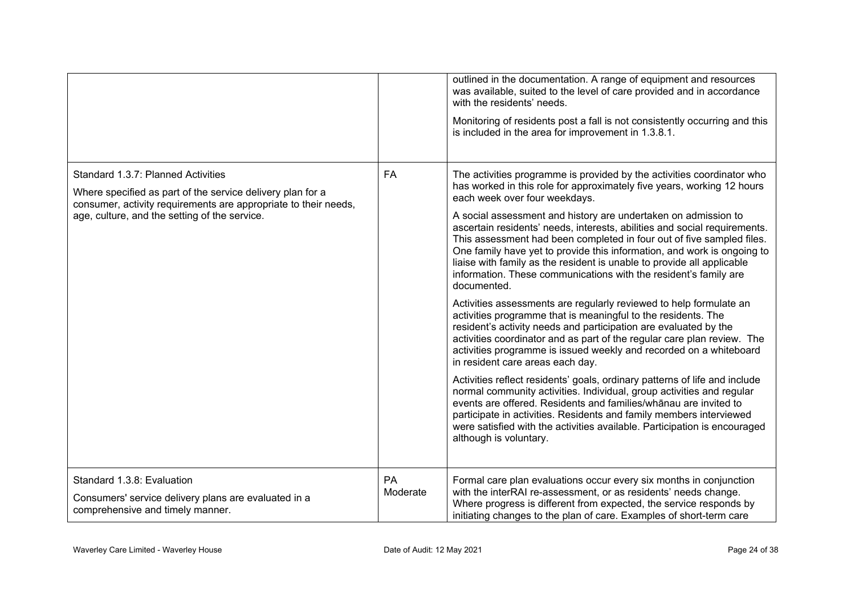|                                                                                                                                                                                                                      |                | outlined in the documentation. A range of equipment and resources<br>was available, suited to the level of care provided and in accordance<br>with the residents' needs.<br>Monitoring of residents post a fall is not consistently occurring and this<br>is included in the area for improvement in 1.3.8.1.                                                                                                                                                                                                                                                                                                                                                                                                                                                                                                                                                                                                                                                                                                                                                                                                                                                                                                                                                                                                                                                                                                                                              |
|----------------------------------------------------------------------------------------------------------------------------------------------------------------------------------------------------------------------|----------------|------------------------------------------------------------------------------------------------------------------------------------------------------------------------------------------------------------------------------------------------------------------------------------------------------------------------------------------------------------------------------------------------------------------------------------------------------------------------------------------------------------------------------------------------------------------------------------------------------------------------------------------------------------------------------------------------------------------------------------------------------------------------------------------------------------------------------------------------------------------------------------------------------------------------------------------------------------------------------------------------------------------------------------------------------------------------------------------------------------------------------------------------------------------------------------------------------------------------------------------------------------------------------------------------------------------------------------------------------------------------------------------------------------------------------------------------------------|
| Standard 1.3.7: Planned Activities<br>Where specified as part of the service delivery plan for a<br>consumer, activity requirements are appropriate to their needs,<br>age, culture, and the setting of the service. | FA             | The activities programme is provided by the activities coordinator who<br>has worked in this role for approximately five years, working 12 hours<br>each week over four weekdays.<br>A social assessment and history are undertaken on admission to<br>ascertain residents' needs, interests, abilities and social requirements.<br>This assessment had been completed in four out of five sampled files.<br>One family have yet to provide this information, and work is ongoing to<br>liaise with family as the resident is unable to provide all applicable<br>information. These communications with the resident's family are<br>documented.<br>Activities assessments are regularly reviewed to help formulate an<br>activities programme that is meaningful to the residents. The<br>resident's activity needs and participation are evaluated by the<br>activities coordinator and as part of the regular care plan review. The<br>activities programme is issued weekly and recorded on a whiteboard<br>in resident care areas each day.<br>Activities reflect residents' goals, ordinary patterns of life and include<br>normal community activities. Individual, group activities and regular<br>events are offered. Residents and families/whanau are invited to<br>participate in activities. Residents and family members interviewed<br>were satisfied with the activities available. Participation is encouraged<br>although is voluntary. |
| Standard 1.3.8: Evaluation<br>Consumers' service delivery plans are evaluated in a<br>comprehensive and timely manner.                                                                                               | PA<br>Moderate | Formal care plan evaluations occur every six months in conjunction<br>with the interRAI re-assessment, or as residents' needs change.<br>Where progress is different from expected, the service responds by<br>initiating changes to the plan of care. Examples of short-term care                                                                                                                                                                                                                                                                                                                                                                                                                                                                                                                                                                                                                                                                                                                                                                                                                                                                                                                                                                                                                                                                                                                                                                         |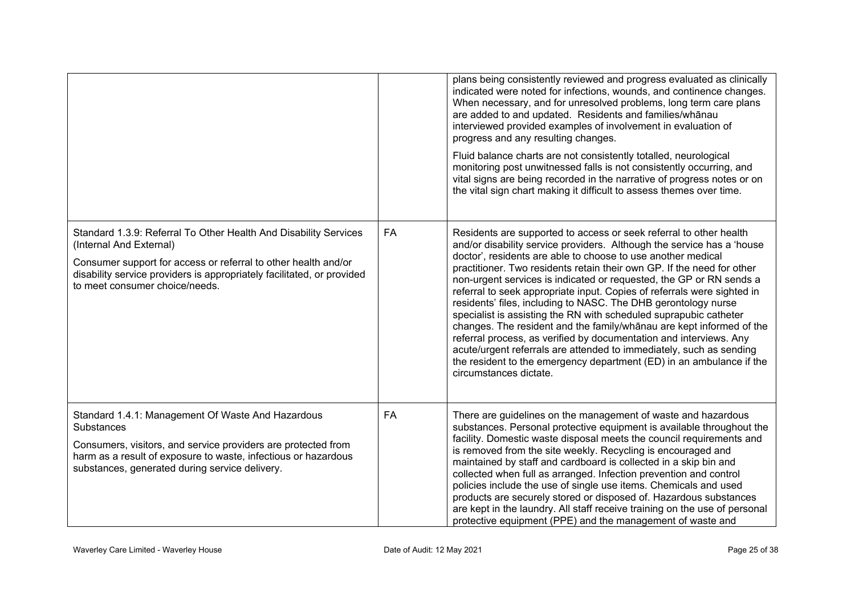|                                                                                                                                                                                                                                                                           |    | plans being consistently reviewed and progress evaluated as clinically<br>indicated were noted for infections, wounds, and continence changes.<br>When necessary, and for unresolved problems, long term care plans<br>are added to and updated. Residents and families/whanau<br>interviewed provided examples of involvement in evaluation of<br>progress and any resulting changes.<br>Fluid balance charts are not consistently totalled, neurological<br>monitoring post unwitnessed falls is not consistently occurring, and<br>vital signs are being recorded in the narrative of progress notes or on<br>the vital sign chart making it difficult to assess themes over time.                                                                                                                                                                                                                  |
|---------------------------------------------------------------------------------------------------------------------------------------------------------------------------------------------------------------------------------------------------------------------------|----|--------------------------------------------------------------------------------------------------------------------------------------------------------------------------------------------------------------------------------------------------------------------------------------------------------------------------------------------------------------------------------------------------------------------------------------------------------------------------------------------------------------------------------------------------------------------------------------------------------------------------------------------------------------------------------------------------------------------------------------------------------------------------------------------------------------------------------------------------------------------------------------------------------|
| Standard 1.3.9: Referral To Other Health And Disability Services<br>(Internal And External)<br>Consumer support for access or referral to other health and/or<br>disability service providers is appropriately facilitated, or provided<br>to meet consumer choice/needs. | FA | Residents are supported to access or seek referral to other health<br>and/or disability service providers. Although the service has a 'house<br>doctor', residents are able to choose to use another medical<br>practitioner. Two residents retain their own GP. If the need for other<br>non-urgent services is indicated or requested, the GP or RN sends a<br>referral to seek appropriate input. Copies of referrals were sighted in<br>residents' files, including to NASC. The DHB gerontology nurse<br>specialist is assisting the RN with scheduled suprapubic catheter<br>changes. The resident and the family/whanau are kept informed of the<br>referral process, as verified by documentation and interviews. Any<br>acute/urgent referrals are attended to immediately, such as sending<br>the resident to the emergency department (ED) in an ambulance if the<br>circumstances dictate. |
| Standard 1.4.1: Management Of Waste And Hazardous<br>Substances<br>Consumers, visitors, and service providers are protected from<br>harm as a result of exposure to waste, infectious or hazardous<br>substances, generated during service delivery.                      | FA | There are guidelines on the management of waste and hazardous<br>substances. Personal protective equipment is available throughout the<br>facility. Domestic waste disposal meets the council requirements and<br>is removed from the site weekly. Recycling is encouraged and<br>maintained by staff and cardboard is collected in a skip bin and<br>collected when full as arranged. Infection prevention and control<br>policies include the use of single use items. Chemicals and used<br>products are securely stored or disposed of. Hazardous substances<br>are kept in the laundry. All staff receive training on the use of personal<br>protective equipment (PPE) and the management of waste and                                                                                                                                                                                           |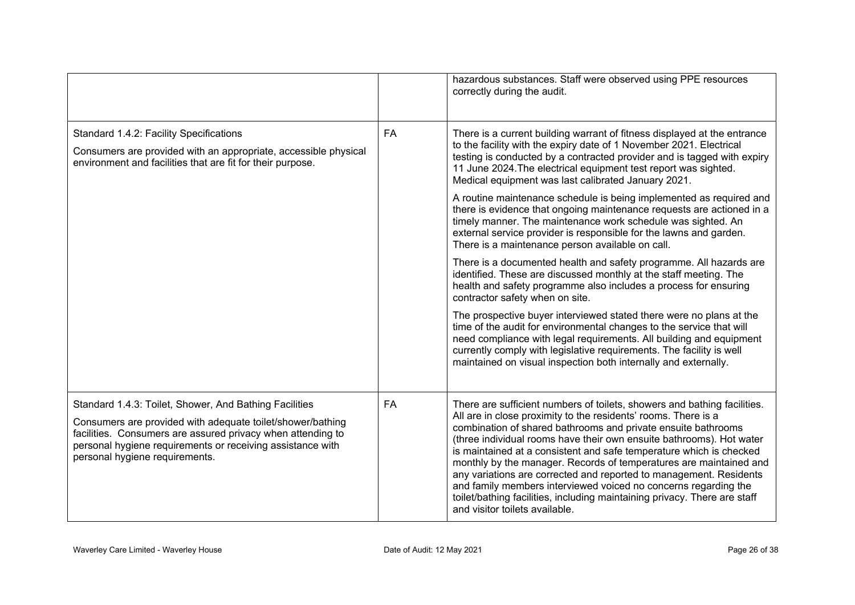|                                                                                                                                                                                                                                                                                     |    | hazardous substances. Staff were observed using PPE resources<br>correctly during the audit.                                                                                                                                                                                                                                                                                                                                                                                                                                                                                                                                                                                             |
|-------------------------------------------------------------------------------------------------------------------------------------------------------------------------------------------------------------------------------------------------------------------------------------|----|------------------------------------------------------------------------------------------------------------------------------------------------------------------------------------------------------------------------------------------------------------------------------------------------------------------------------------------------------------------------------------------------------------------------------------------------------------------------------------------------------------------------------------------------------------------------------------------------------------------------------------------------------------------------------------------|
| Standard 1.4.2: Facility Specifications<br>Consumers are provided with an appropriate, accessible physical<br>environment and facilities that are fit for their purpose.                                                                                                            | FA | There is a current building warrant of fitness displayed at the entrance<br>to the facility with the expiry date of 1 November 2021. Electrical<br>testing is conducted by a contracted provider and is tagged with expiry<br>11 June 2024. The electrical equipment test report was sighted.<br>Medical equipment was last calibrated January 2021.                                                                                                                                                                                                                                                                                                                                     |
|                                                                                                                                                                                                                                                                                     |    | A routine maintenance schedule is being implemented as required and<br>there is evidence that ongoing maintenance requests are actioned in a<br>timely manner. The maintenance work schedule was sighted. An<br>external service provider is responsible for the lawns and garden.<br>There is a maintenance person available on call.                                                                                                                                                                                                                                                                                                                                                   |
|                                                                                                                                                                                                                                                                                     |    | There is a documented health and safety programme. All hazards are<br>identified. These are discussed monthly at the staff meeting. The<br>health and safety programme also includes a process for ensuring<br>contractor safety when on site.                                                                                                                                                                                                                                                                                                                                                                                                                                           |
|                                                                                                                                                                                                                                                                                     |    | The prospective buyer interviewed stated there were no plans at the<br>time of the audit for environmental changes to the service that will<br>need compliance with legal requirements. All building and equipment<br>currently comply with legislative requirements. The facility is well<br>maintained on visual inspection both internally and externally.                                                                                                                                                                                                                                                                                                                            |
| Standard 1.4.3: Toilet, Shower, And Bathing Facilities<br>Consumers are provided with adequate toilet/shower/bathing<br>facilities. Consumers are assured privacy when attending to<br>personal hygiene requirements or receiving assistance with<br>personal hygiene requirements. | FA | There are sufficient numbers of toilets, showers and bathing facilities.<br>All are in close proximity to the residents' rooms. There is a<br>combination of shared bathrooms and private ensuite bathrooms<br>(three individual rooms have their own ensuite bathrooms). Hot water<br>is maintained at a consistent and safe temperature which is checked<br>monthly by the manager. Records of temperatures are maintained and<br>any variations are corrected and reported to management. Residents<br>and family members interviewed voiced no concerns regarding the<br>toilet/bathing facilities, including maintaining privacy. There are staff<br>and visitor toilets available. |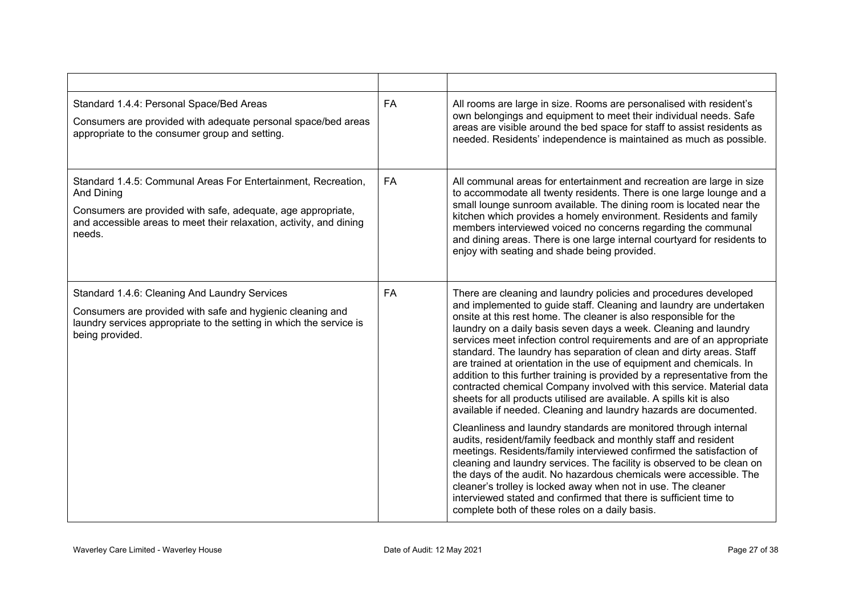| Standard 1.4.4: Personal Space/Bed Areas<br>Consumers are provided with adequate personal space/bed areas<br>appropriate to the consumer group and setting.                                                                  | <b>FA</b> | All rooms are large in size. Rooms are personalised with resident's<br>own belongings and equipment to meet their individual needs. Safe<br>areas are visible around the bed space for staff to assist residents as<br>needed. Residents' independence is maintained as much as possible.                                                                                                                                                                                                                                                                                                                                                                                                                                                                                                                                                                                                                                                                                                                                                                                                                                                                                                                                                                                                                                                                             |
|------------------------------------------------------------------------------------------------------------------------------------------------------------------------------------------------------------------------------|-----------|-----------------------------------------------------------------------------------------------------------------------------------------------------------------------------------------------------------------------------------------------------------------------------------------------------------------------------------------------------------------------------------------------------------------------------------------------------------------------------------------------------------------------------------------------------------------------------------------------------------------------------------------------------------------------------------------------------------------------------------------------------------------------------------------------------------------------------------------------------------------------------------------------------------------------------------------------------------------------------------------------------------------------------------------------------------------------------------------------------------------------------------------------------------------------------------------------------------------------------------------------------------------------------------------------------------------------------------------------------------------------|
| Standard 1.4.5: Communal Areas For Entertainment, Recreation,<br>And Dining<br>Consumers are provided with safe, adequate, age appropriate,<br>and accessible areas to meet their relaxation, activity, and dining<br>needs. | <b>FA</b> | All communal areas for entertainment and recreation are large in size<br>to accommodate all twenty residents. There is one large lounge and a<br>small lounge sunroom available. The dining room is located near the<br>kitchen which provides a homely environment. Residents and family<br>members interviewed voiced no concerns regarding the communal<br>and dining areas. There is one large internal courtyard for residents to<br>enjoy with seating and shade being provided.                                                                                                                                                                                                                                                                                                                                                                                                                                                                                                                                                                                                                                                                                                                                                                                                                                                                                |
| Standard 1.4.6: Cleaning And Laundry Services<br>Consumers are provided with safe and hygienic cleaning and<br>laundry services appropriate to the setting in which the service is<br>being provided.                        | FA        | There are cleaning and laundry policies and procedures developed<br>and implemented to guide staff. Cleaning and laundry are undertaken<br>onsite at this rest home. The cleaner is also responsible for the<br>laundry on a daily basis seven days a week. Cleaning and laundry<br>services meet infection control requirements and are of an appropriate<br>standard. The laundry has separation of clean and dirty areas. Staff<br>are trained at orientation in the use of equipment and chemicals. In<br>addition to this further training is provided by a representative from the<br>contracted chemical Company involved with this service. Material data<br>sheets for all products utilised are available. A spills kit is also<br>available if needed. Cleaning and laundry hazards are documented.<br>Cleanliness and laundry standards are monitored through internal<br>audits, resident/family feedback and monthly staff and resident<br>meetings. Residents/family interviewed confirmed the satisfaction of<br>cleaning and laundry services. The facility is observed to be clean on<br>the days of the audit. No hazardous chemicals were accessible. The<br>cleaner's trolley is locked away when not in use. The cleaner<br>interviewed stated and confirmed that there is sufficient time to<br>complete both of these roles on a daily basis. |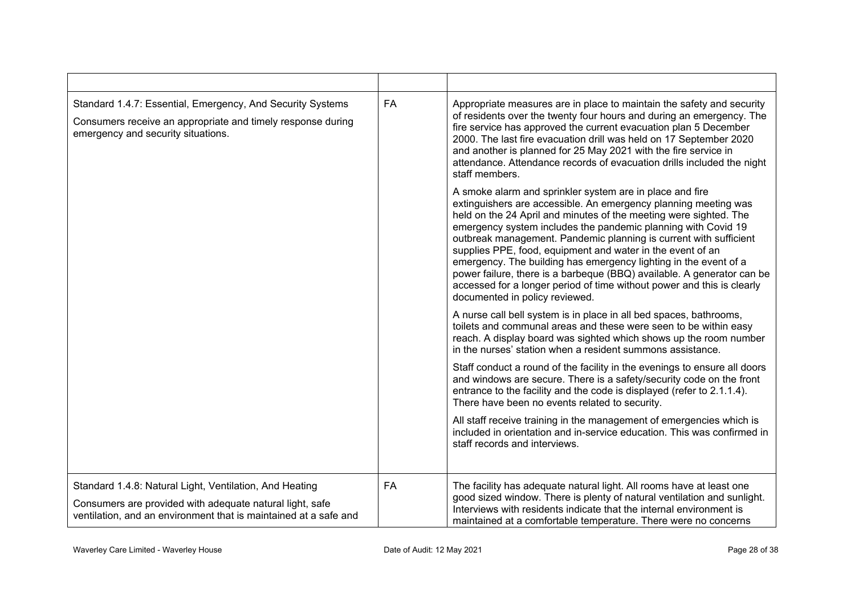| Standard 1.4.7: Essential, Emergency, And Security Systems<br>Consumers receive an appropriate and timely response during<br>emergency and security situations.                         | <b>FA</b> | Appropriate measures are in place to maintain the safety and security<br>of residents over the twenty four hours and during an emergency. The<br>fire service has approved the current evacuation plan 5 December<br>2000. The last fire evacuation drill was held on 17 September 2020<br>and another is planned for 25 May 2021 with the fire service in<br>attendance. Attendance records of evacuation drills included the night<br>staff members.                                                                                                                                                                                                         |
|-----------------------------------------------------------------------------------------------------------------------------------------------------------------------------------------|-----------|----------------------------------------------------------------------------------------------------------------------------------------------------------------------------------------------------------------------------------------------------------------------------------------------------------------------------------------------------------------------------------------------------------------------------------------------------------------------------------------------------------------------------------------------------------------------------------------------------------------------------------------------------------------|
|                                                                                                                                                                                         |           | A smoke alarm and sprinkler system are in place and fire<br>extinguishers are accessible. An emergency planning meeting was<br>held on the 24 April and minutes of the meeting were sighted. The<br>emergency system includes the pandemic planning with Covid 19<br>outbreak management. Pandemic planning is current with sufficient<br>supplies PPE, food, equipment and water in the event of an<br>emergency. The building has emergency lighting in the event of a<br>power failure, there is a barbeque (BBQ) available. A generator can be<br>accessed for a longer period of time without power and this is clearly<br>documented in policy reviewed. |
|                                                                                                                                                                                         |           | A nurse call bell system is in place in all bed spaces, bathrooms,<br>toilets and communal areas and these were seen to be within easy<br>reach. A display board was sighted which shows up the room number<br>in the nurses' station when a resident summons assistance.                                                                                                                                                                                                                                                                                                                                                                                      |
|                                                                                                                                                                                         |           | Staff conduct a round of the facility in the evenings to ensure all doors<br>and windows are secure. There is a safety/security code on the front<br>entrance to the facility and the code is displayed (refer to 2.1.1.4).<br>There have been no events related to security.                                                                                                                                                                                                                                                                                                                                                                                  |
|                                                                                                                                                                                         |           | All staff receive training in the management of emergencies which is<br>included in orientation and in-service education. This was confirmed in<br>staff records and interviews.                                                                                                                                                                                                                                                                                                                                                                                                                                                                               |
| Standard 1.4.8: Natural Light, Ventilation, And Heating<br>Consumers are provided with adequate natural light, safe<br>ventilation, and an environment that is maintained at a safe and | <b>FA</b> | The facility has adequate natural light. All rooms have at least one<br>good sized window. There is plenty of natural ventilation and sunlight.<br>Interviews with residents indicate that the internal environment is<br>maintained at a comfortable temperature. There were no concerns                                                                                                                                                                                                                                                                                                                                                                      |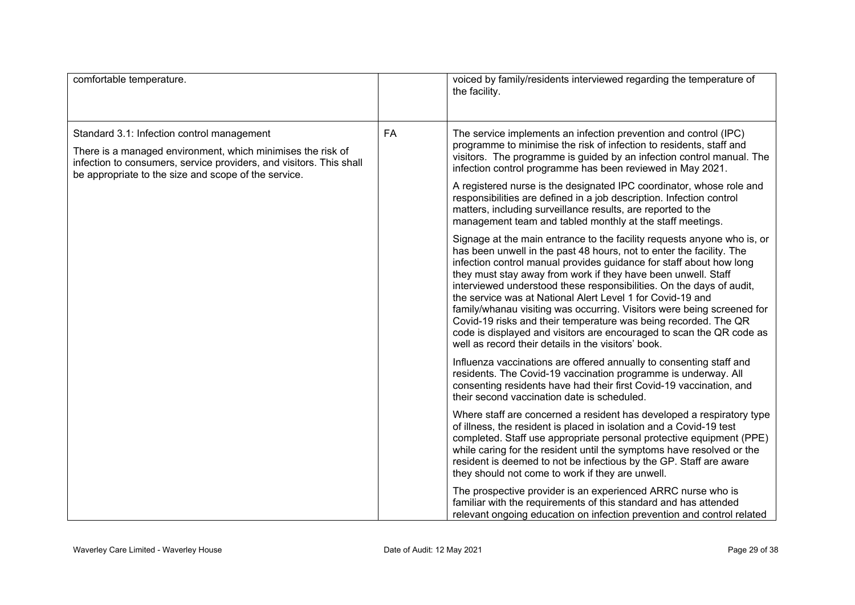| comfortable temperature.                                                                                                                                                                                                                 |    | voiced by family/residents interviewed regarding the temperature of<br>the facility.                                                                                                                                                                                                                                                                                                                                                                                                                                                                                                                                                                                                                      |
|------------------------------------------------------------------------------------------------------------------------------------------------------------------------------------------------------------------------------------------|----|-----------------------------------------------------------------------------------------------------------------------------------------------------------------------------------------------------------------------------------------------------------------------------------------------------------------------------------------------------------------------------------------------------------------------------------------------------------------------------------------------------------------------------------------------------------------------------------------------------------------------------------------------------------------------------------------------------------|
| Standard 3.1: Infection control management<br>There is a managed environment, which minimises the risk of<br>infection to consumers, service providers, and visitors. This shall<br>be appropriate to the size and scope of the service. | FA | The service implements an infection prevention and control (IPC)<br>programme to minimise the risk of infection to residents, staff and<br>visitors. The programme is guided by an infection control manual. The<br>infection control programme has been reviewed in May 2021.                                                                                                                                                                                                                                                                                                                                                                                                                            |
|                                                                                                                                                                                                                                          |    | A registered nurse is the designated IPC coordinator, whose role and<br>responsibilities are defined in a job description. Infection control<br>matters, including surveillance results, are reported to the<br>management team and tabled monthly at the staff meetings.                                                                                                                                                                                                                                                                                                                                                                                                                                 |
|                                                                                                                                                                                                                                          |    | Signage at the main entrance to the facility requests anyone who is, or<br>has been unwell in the past 48 hours, not to enter the facility. The<br>infection control manual provides guidance for staff about how long<br>they must stay away from work if they have been unwell. Staff<br>interviewed understood these responsibilities. On the days of audit,<br>the service was at National Alert Level 1 for Covid-19 and<br>family/whanau visiting was occurring. Visitors were being screened for<br>Covid-19 risks and their temperature was being recorded. The QR<br>code is displayed and visitors are encouraged to scan the QR code as<br>well as record their details in the visitors' book. |
|                                                                                                                                                                                                                                          |    | Influenza vaccinations are offered annually to consenting staff and<br>residents. The Covid-19 vaccination programme is underway. All<br>consenting residents have had their first Covid-19 vaccination, and<br>their second vaccination date is scheduled.                                                                                                                                                                                                                                                                                                                                                                                                                                               |
|                                                                                                                                                                                                                                          |    | Where staff are concerned a resident has developed a respiratory type<br>of illness, the resident is placed in isolation and a Covid-19 test<br>completed. Staff use appropriate personal protective equipment (PPE)<br>while caring for the resident until the symptoms have resolved or the<br>resident is deemed to not be infectious by the GP. Staff are aware<br>they should not come to work if they are unwell.                                                                                                                                                                                                                                                                                   |
|                                                                                                                                                                                                                                          |    | The prospective provider is an experienced ARRC nurse who is<br>familiar with the requirements of this standard and has attended<br>relevant ongoing education on infection prevention and control related                                                                                                                                                                                                                                                                                                                                                                                                                                                                                                |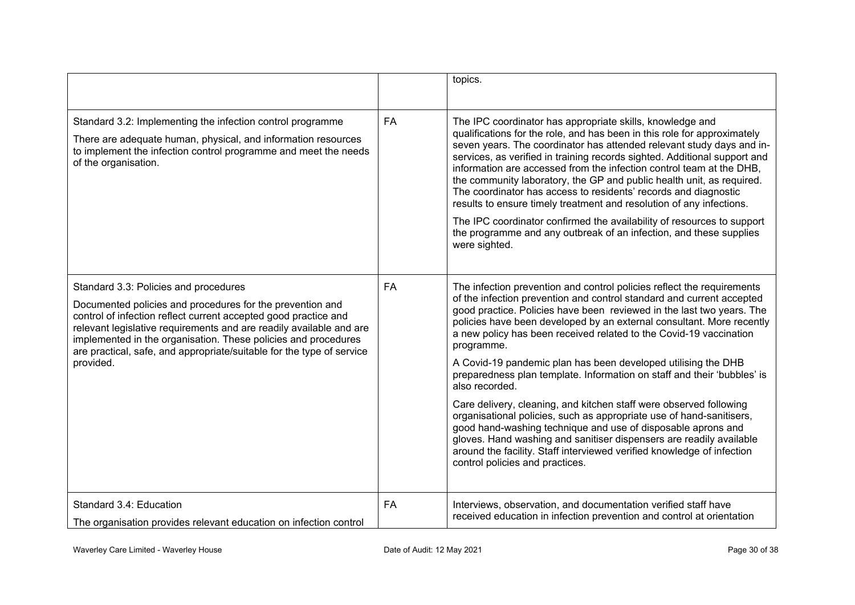|                                                                                                                                                                                                                                                                                                                                                                                                      |           | topics.                                                                                                                                                                                                                                                                                                                                                                                                                                                                                                                                                                                                                                                                                                                                                                                                                                                                                                                                               |
|------------------------------------------------------------------------------------------------------------------------------------------------------------------------------------------------------------------------------------------------------------------------------------------------------------------------------------------------------------------------------------------------------|-----------|-------------------------------------------------------------------------------------------------------------------------------------------------------------------------------------------------------------------------------------------------------------------------------------------------------------------------------------------------------------------------------------------------------------------------------------------------------------------------------------------------------------------------------------------------------------------------------------------------------------------------------------------------------------------------------------------------------------------------------------------------------------------------------------------------------------------------------------------------------------------------------------------------------------------------------------------------------|
| Standard 3.2: Implementing the infection control programme<br>There are adequate human, physical, and information resources<br>to implement the infection control programme and meet the needs<br>of the organisation.                                                                                                                                                                               | <b>FA</b> | The IPC coordinator has appropriate skills, knowledge and<br>qualifications for the role, and has been in this role for approximately<br>seven years. The coordinator has attended relevant study days and in-<br>services, as verified in training records sighted. Additional support and<br>information are accessed from the infection control team at the DHB.<br>the community laboratory, the GP and public health unit, as required.<br>The coordinator has access to residents' records and diagnostic<br>results to ensure timely treatment and resolution of any infections.<br>The IPC coordinator confirmed the availability of resources to support<br>the programme and any outbreak of an infection, and these supplies                                                                                                                                                                                                               |
|                                                                                                                                                                                                                                                                                                                                                                                                      |           | were sighted.                                                                                                                                                                                                                                                                                                                                                                                                                                                                                                                                                                                                                                                                                                                                                                                                                                                                                                                                         |
| Standard 3.3: Policies and procedures<br>Documented policies and procedures for the prevention and<br>control of infection reflect current accepted good practice and<br>relevant legislative requirements and are readily available and are<br>implemented in the organisation. These policies and procedures<br>are practical, safe, and appropriate/suitable for the type of service<br>provided. | <b>FA</b> | The infection prevention and control policies reflect the requirements<br>of the infection prevention and control standard and current accepted<br>good practice. Policies have been reviewed in the last two years. The<br>policies have been developed by an external consultant. More recently<br>a new policy has been received related to the Covid-19 vaccination<br>programme.<br>A Covid-19 pandemic plan has been developed utilising the DHB<br>preparedness plan template. Information on staff and their 'bubbles' is<br>also recorded.<br>Care delivery, cleaning, and kitchen staff were observed following<br>organisational policies, such as appropriate use of hand-sanitisers,<br>good hand-washing technique and use of disposable aprons and<br>gloves. Hand washing and sanitiser dispensers are readily available<br>around the facility. Staff interviewed verified knowledge of infection<br>control policies and practices. |
|                                                                                                                                                                                                                                                                                                                                                                                                      |           |                                                                                                                                                                                                                                                                                                                                                                                                                                                                                                                                                                                                                                                                                                                                                                                                                                                                                                                                                       |
| Standard 3.4: Education<br>The organisation provides relevant education on infection control                                                                                                                                                                                                                                                                                                         | <b>FA</b> | Interviews, observation, and documentation verified staff have<br>received education in infection prevention and control at orientation                                                                                                                                                                                                                                                                                                                                                                                                                                                                                                                                                                                                                                                                                                                                                                                                               |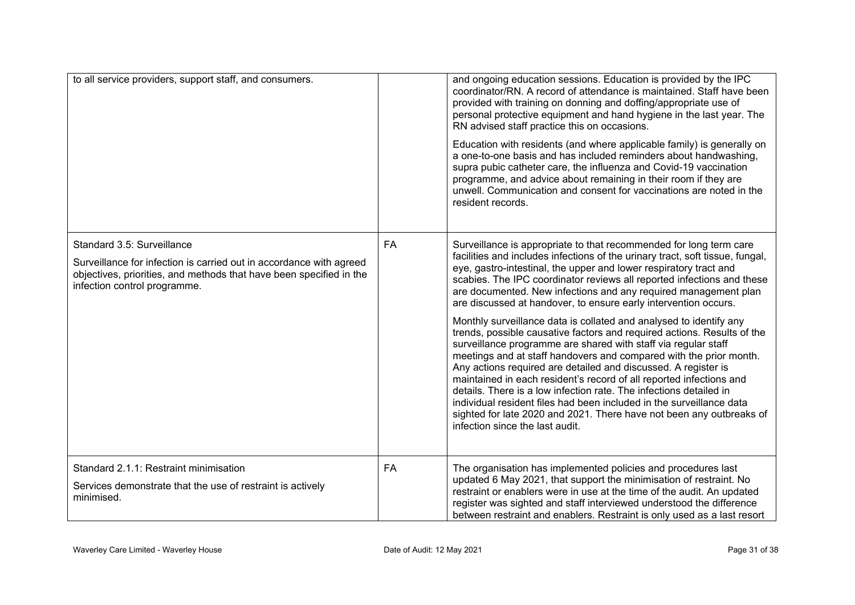| to all service providers, support staff, and consumers.                                                                                                                    |           | and ongoing education sessions. Education is provided by the IPC<br>coordinator/RN. A record of attendance is maintained. Staff have been<br>provided with training on donning and doffing/appropriate use of<br>personal protective equipment and hand hygiene in the last year. The<br>RN advised staff practice this on occasions.                                                                                                                                                                                                                                                                                                                                                   |
|----------------------------------------------------------------------------------------------------------------------------------------------------------------------------|-----------|-----------------------------------------------------------------------------------------------------------------------------------------------------------------------------------------------------------------------------------------------------------------------------------------------------------------------------------------------------------------------------------------------------------------------------------------------------------------------------------------------------------------------------------------------------------------------------------------------------------------------------------------------------------------------------------------|
|                                                                                                                                                                            |           | Education with residents (and where applicable family) is generally on<br>a one-to-one basis and has included reminders about handwashing,<br>supra pubic catheter care, the influenza and Covid-19 vaccination<br>programme, and advice about remaining in their room if they are<br>unwell. Communication and consent for vaccinations are noted in the<br>resident records.                                                                                                                                                                                                                                                                                                          |
| Standard 3.5: Surveillance                                                                                                                                                 | <b>FA</b> | Surveillance is appropriate to that recommended for long term care<br>facilities and includes infections of the urinary tract, soft tissue, fungal,                                                                                                                                                                                                                                                                                                                                                                                                                                                                                                                                     |
| Surveillance for infection is carried out in accordance with agreed<br>objectives, priorities, and methods that have been specified in the<br>infection control programme. |           | eye, gastro-intestinal, the upper and lower respiratory tract and<br>scabies. The IPC coordinator reviews all reported infections and these<br>are documented. New infections and any required management plan<br>are discussed at handover, to ensure early intervention occurs.                                                                                                                                                                                                                                                                                                                                                                                                       |
|                                                                                                                                                                            |           | Monthly surveillance data is collated and analysed to identify any<br>trends, possible causative factors and required actions. Results of the<br>surveillance programme are shared with staff via regular staff<br>meetings and at staff handovers and compared with the prior month.<br>Any actions required are detailed and discussed. A register is<br>maintained in each resident's record of all reported infections and<br>details. There is a low infection rate. The infections detailed in<br>individual resident files had been included in the surveillance data<br>sighted for late 2020 and 2021. There have not been any outbreaks of<br>infection since the last audit. |
| Standard 2.1.1: Restraint minimisation<br>Services demonstrate that the use of restraint is actively<br>minimised.                                                         | <b>FA</b> | The organisation has implemented policies and procedures last<br>updated 6 May 2021, that support the minimisation of restraint. No<br>restraint or enablers were in use at the time of the audit. An updated<br>register was sighted and staff interviewed understood the difference<br>between restraint and enablers. Restraint is only used as a last resort                                                                                                                                                                                                                                                                                                                        |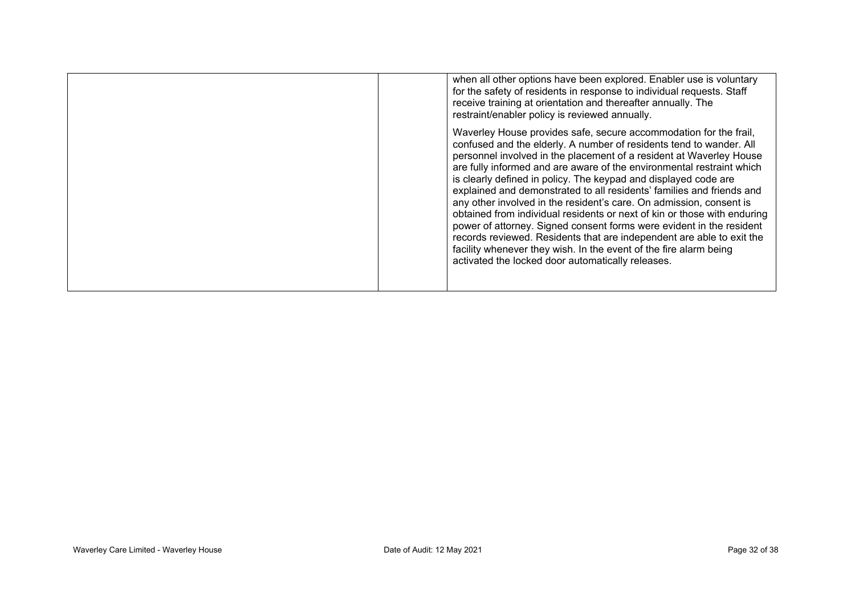| when all other options have been explored. Enabler use is voluntary<br>for the safety of residents in response to individual requests. Staff<br>receive training at orientation and thereafter annually. The<br>restraint/enabler policy is reviewed annually.                                                                                                                                                                                                                                                                                                                                                                                                                                                                                                                                                                                                     |
|--------------------------------------------------------------------------------------------------------------------------------------------------------------------------------------------------------------------------------------------------------------------------------------------------------------------------------------------------------------------------------------------------------------------------------------------------------------------------------------------------------------------------------------------------------------------------------------------------------------------------------------------------------------------------------------------------------------------------------------------------------------------------------------------------------------------------------------------------------------------|
| Waverley House provides safe, secure accommodation for the frail,<br>confused and the elderly. A number of residents tend to wander. All<br>personnel involved in the placement of a resident at Waverley House<br>are fully informed and are aware of the environmental restraint which<br>is clearly defined in policy. The keypad and displayed code are<br>explained and demonstrated to all residents' families and friends and<br>any other involved in the resident's care. On admission, consent is<br>obtained from individual residents or next of kin or those with enduring<br>power of attorney. Signed consent forms were evident in the resident<br>records reviewed. Residents that are independent are able to exit the<br>facility whenever they wish. In the event of the fire alarm being<br>activated the locked door automatically releases. |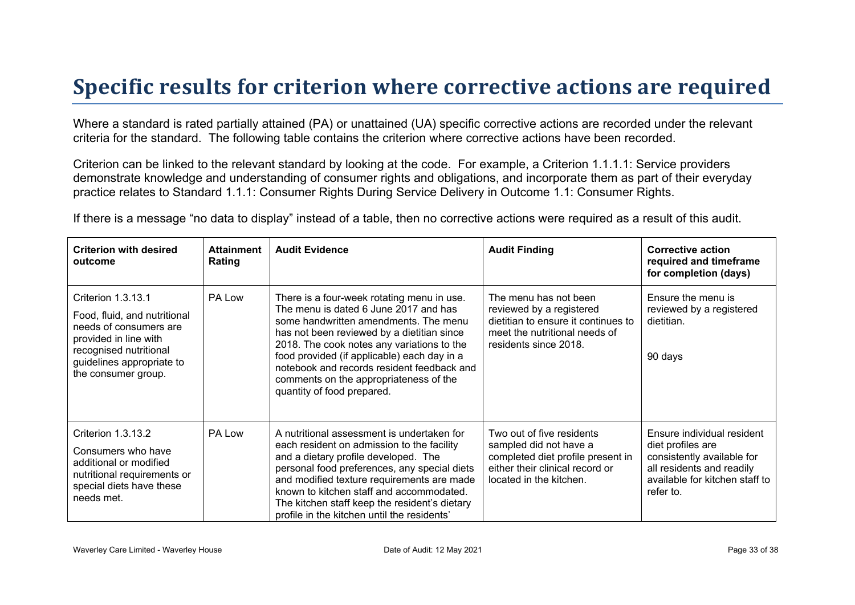### **Specific results for criterion where corrective actions are required**

Where a standard is rated partially attained (PA) or unattained (UA) specific corrective actions are recorded under the relevant criteria for the standard. The following table contains the criterion where corrective actions have been recorded.

Criterion can be linked to the relevant standard by looking at the code. For example, a Criterion 1.1.1.1: Service providers demonstrate knowledge and understanding of consumer rights and obligations, and incorporate them as part of their everyday practice relates to Standard 1.1.1: Consumer Rights During Service Delivery in Outcome 1.1: Consumer Rights.

If there is a message "no data to display" instead of a table, then no corrective actions were required as a result of this audit.

| <b>Criterion with desired</b><br>outcome                                                                                                                                            | <b>Attainment</b><br>Rating | <b>Audit Evidence</b>                                                                                                                                                                                                                                                                                                                                                                         | <b>Audit Finding</b>                                                                                                                                   | <b>Corrective action</b><br>required and timeframe<br>for completion (days)                                                                               |
|-------------------------------------------------------------------------------------------------------------------------------------------------------------------------------------|-----------------------------|-----------------------------------------------------------------------------------------------------------------------------------------------------------------------------------------------------------------------------------------------------------------------------------------------------------------------------------------------------------------------------------------------|--------------------------------------------------------------------------------------------------------------------------------------------------------|-----------------------------------------------------------------------------------------------------------------------------------------------------------|
| Criterion 1.3.13.1<br>Food, fluid, and nutritional<br>needs of consumers are<br>provided in line with<br>recognised nutritional<br>guidelines appropriate to<br>the consumer group. | PA Low                      | There is a four-week rotating menu in use.<br>The menu is dated 6 June 2017 and has<br>some handwritten amendments. The menu<br>has not been reviewed by a dietitian since<br>2018. The cook notes any variations to the<br>food provided (if applicable) each day in a<br>notebook and records resident feedback and<br>comments on the appropriateness of the<br>quantity of food prepared. | The menu has not been<br>reviewed by a registered<br>dietitian to ensure it continues to<br>meet the nutritional needs of<br>residents since 2018.     | Ensure the menu is<br>reviewed by a registered<br>dietitian.<br>90 days                                                                                   |
| Criterion 1.3.13.2<br>Consumers who have<br>additional or modified<br>nutritional requirements or<br>special diets have these<br>needs met.                                         | PA Low                      | A nutritional assessment is undertaken for<br>each resident on admission to the facility<br>and a dietary profile developed. The<br>personal food preferences, any special diets<br>and modified texture requirements are made<br>known to kitchen staff and accommodated.<br>The kitchen staff keep the resident's dietary<br>profile in the kitchen until the residents'                    | Two out of five residents<br>sampled did not have a<br>completed diet profile present in<br>either their clinical record or<br>located in the kitchen. | Ensure individual resident<br>diet profiles are<br>consistently available for<br>all residents and readily<br>available for kitchen staff to<br>refer to. |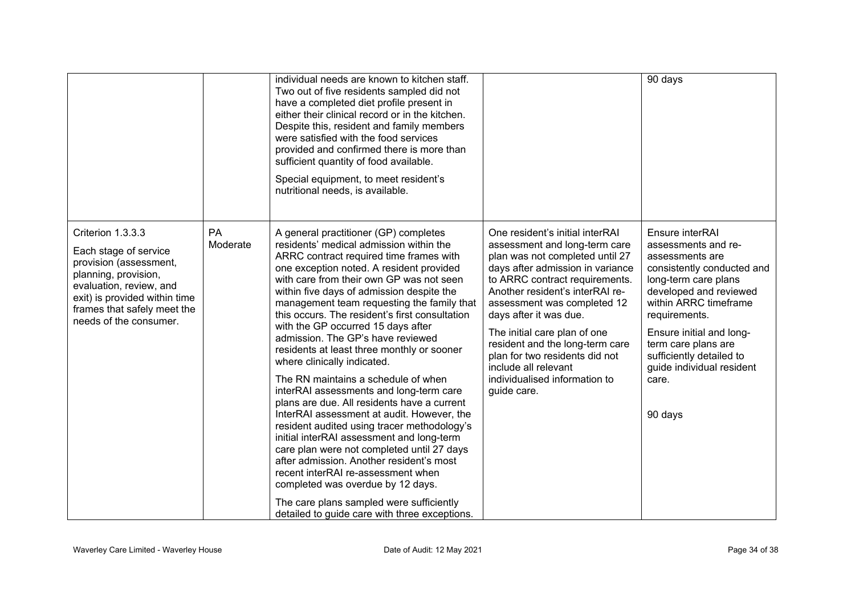|                                                                                                                                                                                                                   |                | individual needs are known to kitchen staff.<br>Two out of five residents sampled did not<br>have a completed diet profile present in<br>either their clinical record or in the kitchen.<br>Despite this, resident and family members<br>were satisfied with the food services<br>provided and confirmed there is more than<br>sufficient quantity of food available.<br>Special equipment, to meet resident's<br>nutritional needs, is available.                                                                                                                                                                                                                                                                                                                                                                                                                                                                                                                                                                                                                    |                                                                                                                                                                                                                                                                                                                                                                                                                                                    | 90 days                                                                                                                                                                                                                                                                                                             |
|-------------------------------------------------------------------------------------------------------------------------------------------------------------------------------------------------------------------|----------------|-----------------------------------------------------------------------------------------------------------------------------------------------------------------------------------------------------------------------------------------------------------------------------------------------------------------------------------------------------------------------------------------------------------------------------------------------------------------------------------------------------------------------------------------------------------------------------------------------------------------------------------------------------------------------------------------------------------------------------------------------------------------------------------------------------------------------------------------------------------------------------------------------------------------------------------------------------------------------------------------------------------------------------------------------------------------------|----------------------------------------------------------------------------------------------------------------------------------------------------------------------------------------------------------------------------------------------------------------------------------------------------------------------------------------------------------------------------------------------------------------------------------------------------|---------------------------------------------------------------------------------------------------------------------------------------------------------------------------------------------------------------------------------------------------------------------------------------------------------------------|
| Criterion 1.3.3.3<br>Each stage of service<br>provision (assessment,<br>planning, provision,<br>evaluation, review, and<br>exit) is provided within time<br>frames that safely meet the<br>needs of the consumer. | PA<br>Moderate | A general practitioner (GP) completes<br>residents' medical admission within the<br>ARRC contract required time frames with<br>one exception noted. A resident provided<br>with care from their own GP was not seen<br>within five days of admission despite the<br>management team requesting the family that<br>this occurs. The resident's first consultation<br>with the GP occurred 15 days after<br>admission. The GP's have reviewed<br>residents at least three monthly or sooner<br>where clinically indicated.<br>The RN maintains a schedule of when<br>interRAI assessments and long-term care<br>plans are due. All residents have a current<br>InterRAI assessment at audit. However, the<br>resident audited using tracer methodology's<br>initial interRAI assessment and long-term<br>care plan were not completed until 27 days<br>after admission. Another resident's most<br>recent interRAI re-assessment when<br>completed was overdue by 12 days.<br>The care plans sampled were sufficiently<br>detailed to guide care with three exceptions. | One resident's initial interRAI<br>assessment and long-term care<br>plan was not completed until 27<br>days after admission in variance<br>to ARRC contract requirements.<br>Another resident's interRAI re-<br>assessment was completed 12<br>days after it was due.<br>The initial care plan of one<br>resident and the long-term care<br>plan for two residents did not<br>include all relevant<br>individualised information to<br>quide care. | Ensure interRAI<br>assessments and re-<br>assessments are<br>consistently conducted and<br>long-term care plans<br>developed and reviewed<br>within ARRC timeframe<br>requirements.<br>Ensure initial and long-<br>term care plans are<br>sufficiently detailed to<br>guide individual resident<br>care.<br>90 days |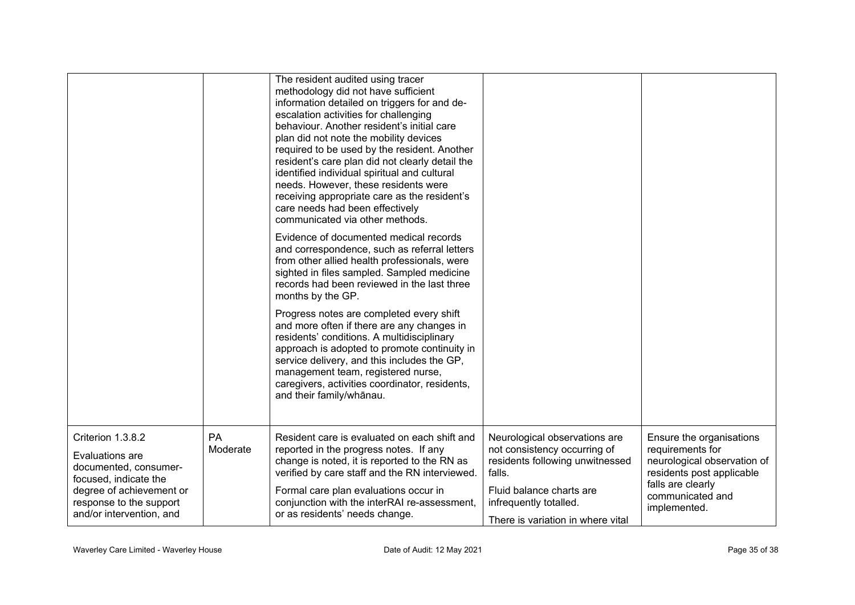|                                                                                                                                                                           |                | The resident audited using tracer<br>methodology did not have sufficient<br>information detailed on triggers for and de-<br>escalation activities for challenging<br>behaviour. Another resident's initial care<br>plan did not note the mobility devices<br>required to be used by the resident. Another<br>resident's care plan did not clearly detail the<br>identified individual spiritual and cultural<br>needs. However, these residents were<br>receiving appropriate care as the resident's<br>care needs had been effectively<br>communicated via other methods. |                                                                                                                                                                                                       |                                                                                                                                                                   |
|---------------------------------------------------------------------------------------------------------------------------------------------------------------------------|----------------|----------------------------------------------------------------------------------------------------------------------------------------------------------------------------------------------------------------------------------------------------------------------------------------------------------------------------------------------------------------------------------------------------------------------------------------------------------------------------------------------------------------------------------------------------------------------------|-------------------------------------------------------------------------------------------------------------------------------------------------------------------------------------------------------|-------------------------------------------------------------------------------------------------------------------------------------------------------------------|
|                                                                                                                                                                           |                | Evidence of documented medical records<br>and correspondence, such as referral letters<br>from other allied health professionals, were<br>sighted in files sampled. Sampled medicine<br>records had been reviewed in the last three<br>months by the GP.                                                                                                                                                                                                                                                                                                                   |                                                                                                                                                                                                       |                                                                                                                                                                   |
|                                                                                                                                                                           |                | Progress notes are completed every shift<br>and more often if there are any changes in<br>residents' conditions. A multidisciplinary<br>approach is adopted to promote continuity in<br>service delivery, and this includes the GP,<br>management team, registered nurse,<br>caregivers, activities coordinator, residents,<br>and their family/whānau.                                                                                                                                                                                                                    |                                                                                                                                                                                                       |                                                                                                                                                                   |
| Criterion 1.3.8.2<br>Evaluations are<br>documented, consumer-<br>focused, indicate the<br>degree of achievement or<br>response to the support<br>and/or intervention, and | PA<br>Moderate | Resident care is evaluated on each shift and<br>reported in the progress notes. If any<br>change is noted, it is reported to the RN as<br>verified by care staff and the RN interviewed.<br>Formal care plan evaluations occur in<br>conjunction with the interRAI re-assessment,<br>or as residents' needs change.                                                                                                                                                                                                                                                        | Neurological observations are<br>not consistency occurring of<br>residents following unwitnessed<br>falls.<br>Fluid balance charts are<br>infrequently totalled.<br>There is variation in where vital | Ensure the organisations<br>requirements for<br>neurological observation of<br>residents post applicable<br>falls are clearly<br>communicated and<br>implemented. |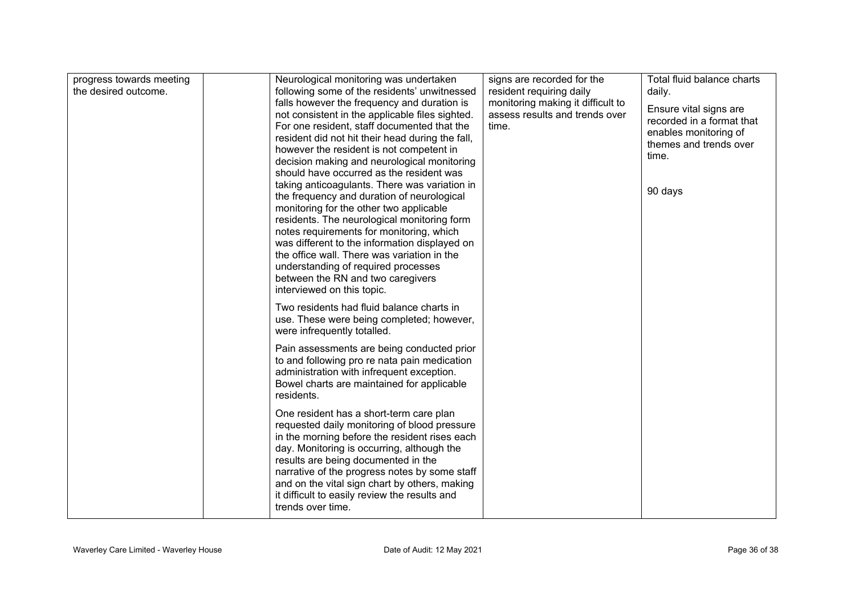| progress towards meeting<br>the desired outcome. | Neurological monitoring was undertaken<br>following some of the residents' unwitnessed<br>falls however the frequency and duration is<br>not consistent in the applicable files sighted.<br>For one resident, staff documented that the<br>resident did not hit their head during the fall,<br>however the resident is not competent in<br>decision making and neurological monitoring<br>should have occurred as the resident was<br>taking anticoagulants. There was variation in<br>the frequency and duration of neurological<br>monitoring for the other two applicable<br>residents. The neurological monitoring form<br>notes requirements for monitoring, which<br>was different to the information displayed on<br>the office wall. There was variation in the<br>understanding of required processes<br>between the RN and two caregivers | signs are recorded for the<br>resident requiring daily<br>monitoring making it difficult to<br>assess results and trends over<br>time. | Total fluid balance charts<br>daily.<br>Ensure vital signs are<br>recorded in a format that<br>enables monitoring of<br>themes and trends over<br>time.<br>90 days |
|--------------------------------------------------|-----------------------------------------------------------------------------------------------------------------------------------------------------------------------------------------------------------------------------------------------------------------------------------------------------------------------------------------------------------------------------------------------------------------------------------------------------------------------------------------------------------------------------------------------------------------------------------------------------------------------------------------------------------------------------------------------------------------------------------------------------------------------------------------------------------------------------------------------------|----------------------------------------------------------------------------------------------------------------------------------------|--------------------------------------------------------------------------------------------------------------------------------------------------------------------|
|                                                  | interviewed on this topic.<br>Two residents had fluid balance charts in<br>use. These were being completed; however,<br>were infrequently totalled.                                                                                                                                                                                                                                                                                                                                                                                                                                                                                                                                                                                                                                                                                                 |                                                                                                                                        |                                                                                                                                                                    |
|                                                  | Pain assessments are being conducted prior<br>to and following pro re nata pain medication<br>administration with infrequent exception.<br>Bowel charts are maintained for applicable<br>residents.                                                                                                                                                                                                                                                                                                                                                                                                                                                                                                                                                                                                                                                 |                                                                                                                                        |                                                                                                                                                                    |
|                                                  | One resident has a short-term care plan<br>requested daily monitoring of blood pressure<br>in the morning before the resident rises each<br>day. Monitoring is occurring, although the<br>results are being documented in the<br>narrative of the progress notes by some staff<br>and on the vital sign chart by others, making<br>it difficult to easily review the results and<br>trends over time.                                                                                                                                                                                                                                                                                                                                                                                                                                               |                                                                                                                                        |                                                                                                                                                                    |